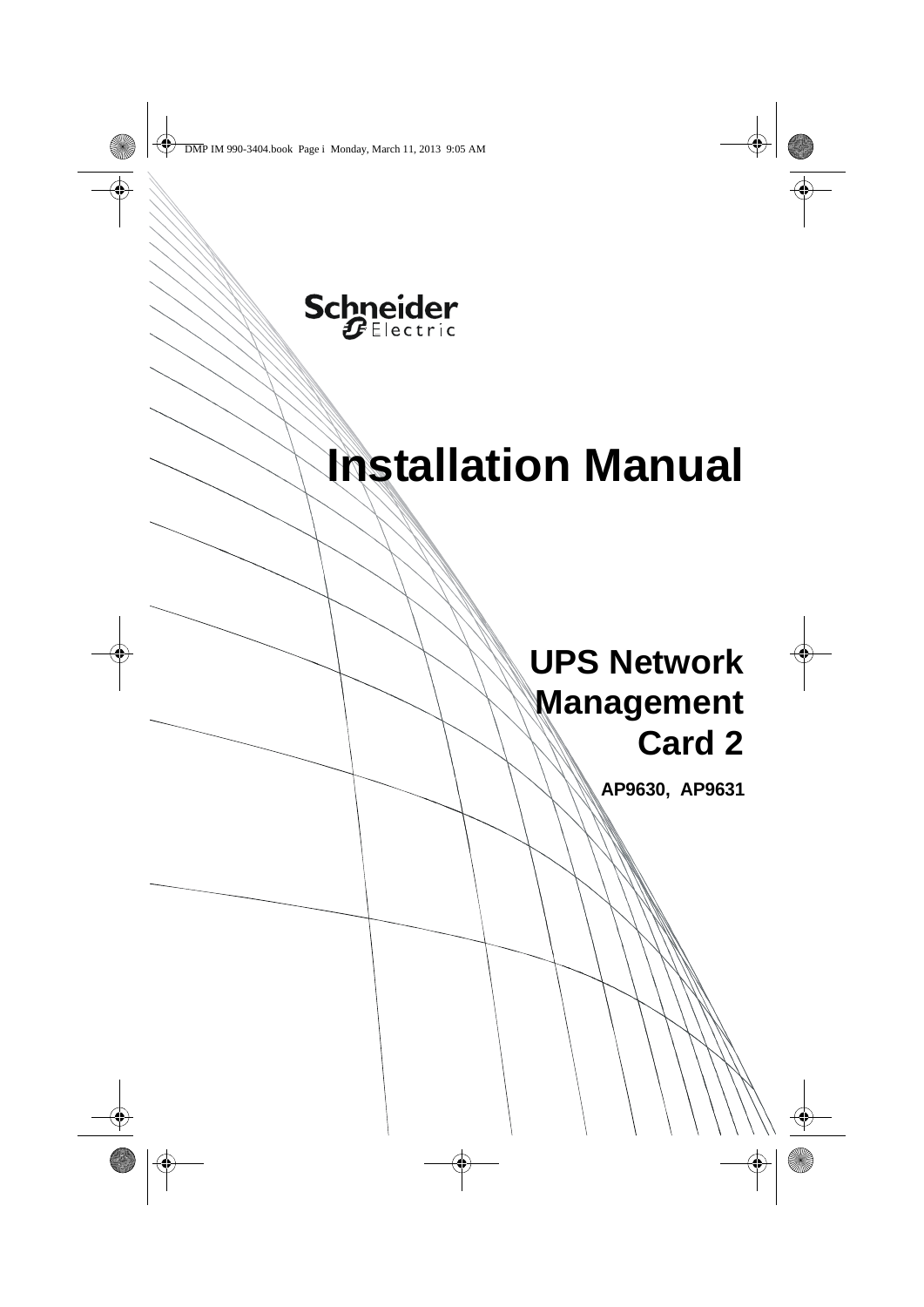

# **Installation Manual**

## **UPS Network Management Card 2**

**AP9630, AP9631**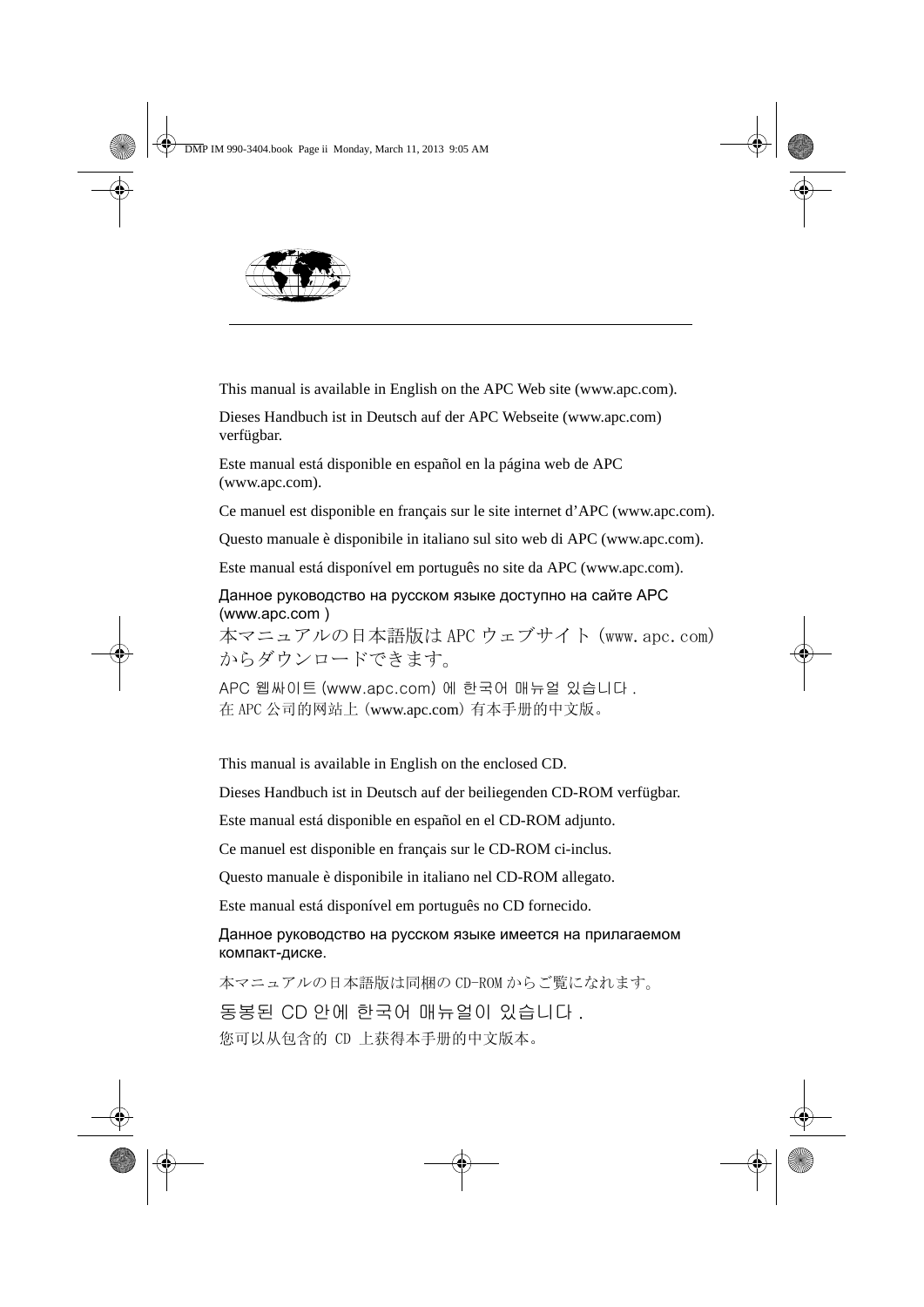

This manual is available in English on the APC Web site (www.apc.com).

Dieses Handbuch ist in Deutsch auf der APC Webseite (www.apc.com) verfügbar.

Este manual está disponible en español en la página web de APC (www.apc.com).

Ce manuel est disponible en français sur le site internet d'APC (www.apc.com).

Questo manuale è disponibile in italiano sul sito web di APC (www.apc.com).

Este manual está disponível em português no site da APC (www.apc.com).

Данное руководство на русском языке доступно на сайте APC (www.apc.com )

本マニュアルの日本語版は APC ウェブサイト (www.apc.com) からダウンロードできます。

APC 웹싸이트 (www.apc.com) 에 한국어 매뉴얼 있습니다 . 在 APC 公司的网站上 ([www.apc.com](http://www.apc.com)) 有本手册的中文版。

This manual is available in English on the enclosed CD.

Dieses Handbuch ist in Deutsch auf der beiliegenden CD-ROM verfügbar.

Este manual está disponible en español en el CD-ROM adjunto.

Ce manuel est disponible en français sur le CD-ROM ci-inclus.

Questo manuale è disponibile in italiano nel CD-ROM allegato.

Este manual está disponível em português no CD fornecido.

Данное руководство на русском языке имеется на прилагаемом компакт-диске.

本マニュアルの日本語版は同梱の CD-ROM からご覧になれます。 동봉된 CD 안에 한국어 매뉴얼이 있습니다 . 您可以从包含的 CD 上获得本手册的中文版本。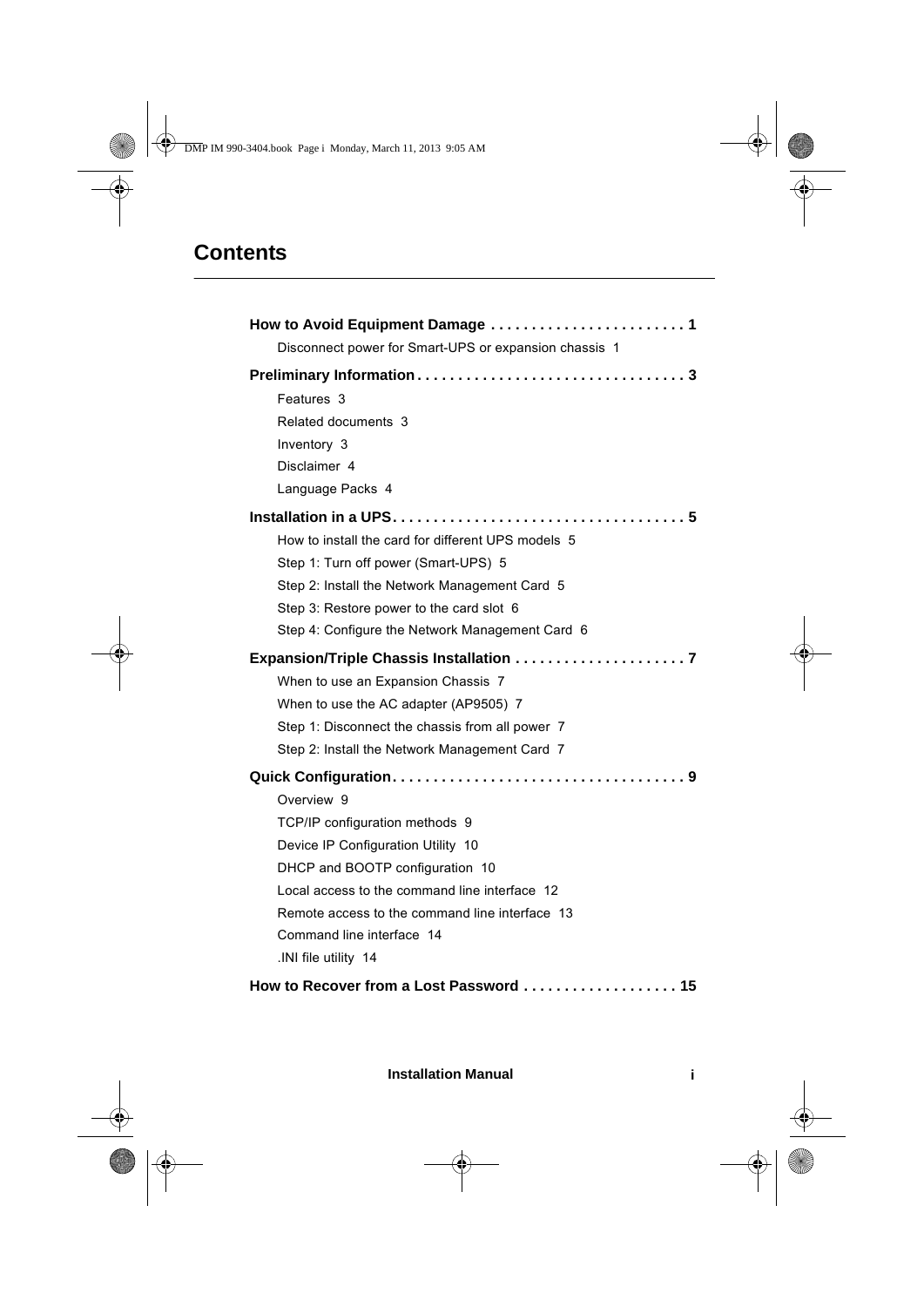### **Contents**

| Disconnect power for Smart-UPS or expansion chassis 1                                      |
|--------------------------------------------------------------------------------------------|
|                                                                                            |
| Features 3                                                                                 |
| Related documents 3                                                                        |
| Inventory 3                                                                                |
| Disclaimer 4                                                                               |
| Language Packs 4                                                                           |
| Installation in a UPS. $\dots\dots\dots\dots\dots\dots\dots\dots\dots\dots\dots\dots\dots$ |
| How to install the card for different UPS models 5                                         |
| Step 1: Turn off power (Smart-UPS) 5                                                       |
| Step 2: Install the Network Management Card 5                                              |
| Step 3: Restore power to the card slot 6                                                   |
| Step 4: Configure the Network Management Card 6                                            |
|                                                                                            |
| When to use an Expansion Chassis 7                                                         |
| When to use the AC adapter (AP9505) 7                                                      |
| Step 1: Disconnect the chassis from all power 7                                            |
| Step 2: Install the Network Management Card 7                                              |
| Quick Configuration                                                                        |
| Overview 9                                                                                 |
| TCP/IP configuration methods 9                                                             |
| Device IP Configuration Utility 10                                                         |
| DHCP and BOOTP configuration 10                                                            |
| Local access to the command line interface 12                                              |
| Remote access to the command line interface 13                                             |
| Command line interface 14                                                                  |
| .INI file utility 14                                                                       |
| How to Recover from a Lost Password  15                                                    |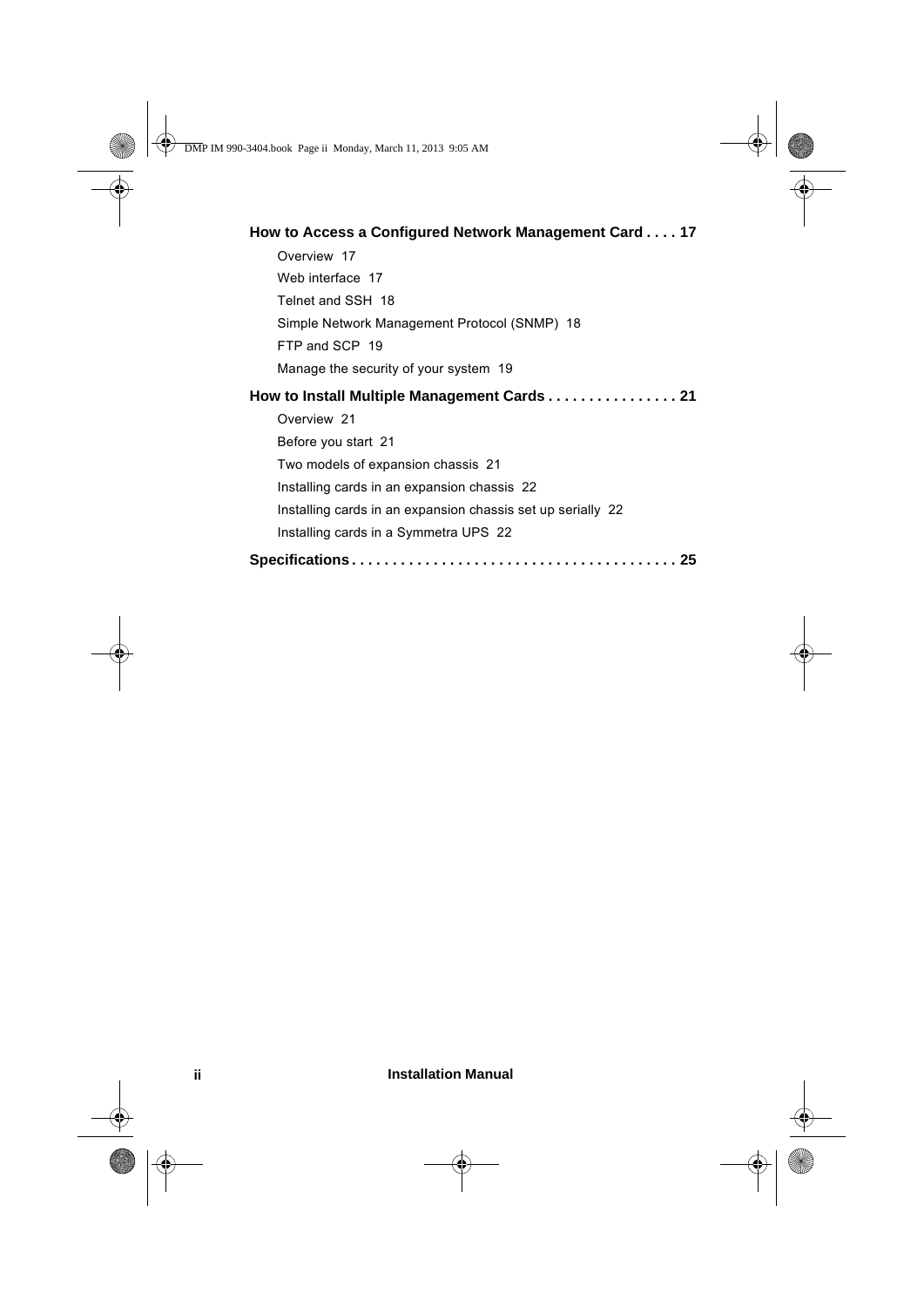#### **[How to Access a Configured Network Management Card . . . . 17](#page-20-0)**

[Overview 1](#page-20-1)7 [Web interface](#page-20-2) 17 [Telnet and SSH 1](#page-21-0)8 [Simple Network Management Protocol \(SNMP\) 1](#page-21-1)8 [FTP and SCP](#page-22-0) 19 [Manage the security of your system 1](#page-22-1)9 **[How to Install Multiple Management Cards . . . . . . . . . . . . . . . . 21](#page-24-0)** [Overview 2](#page-24-1)1 [Before you start](#page-24-2) 21 [Two models of expansion chassis](#page-24-3) 21 [Installing cards in an expansion chassis](#page-25-0) 22 [Installing cards in an expansion chassis set up serially](#page-25-1) 22 [Installing cards in a Symmetra UPS](#page-25-2) 22

**[Specifications . . . . . . . . . . . . . . . . . . . . . . . . . . . . . . . . . . . . . . . . 25](#page-28-0)**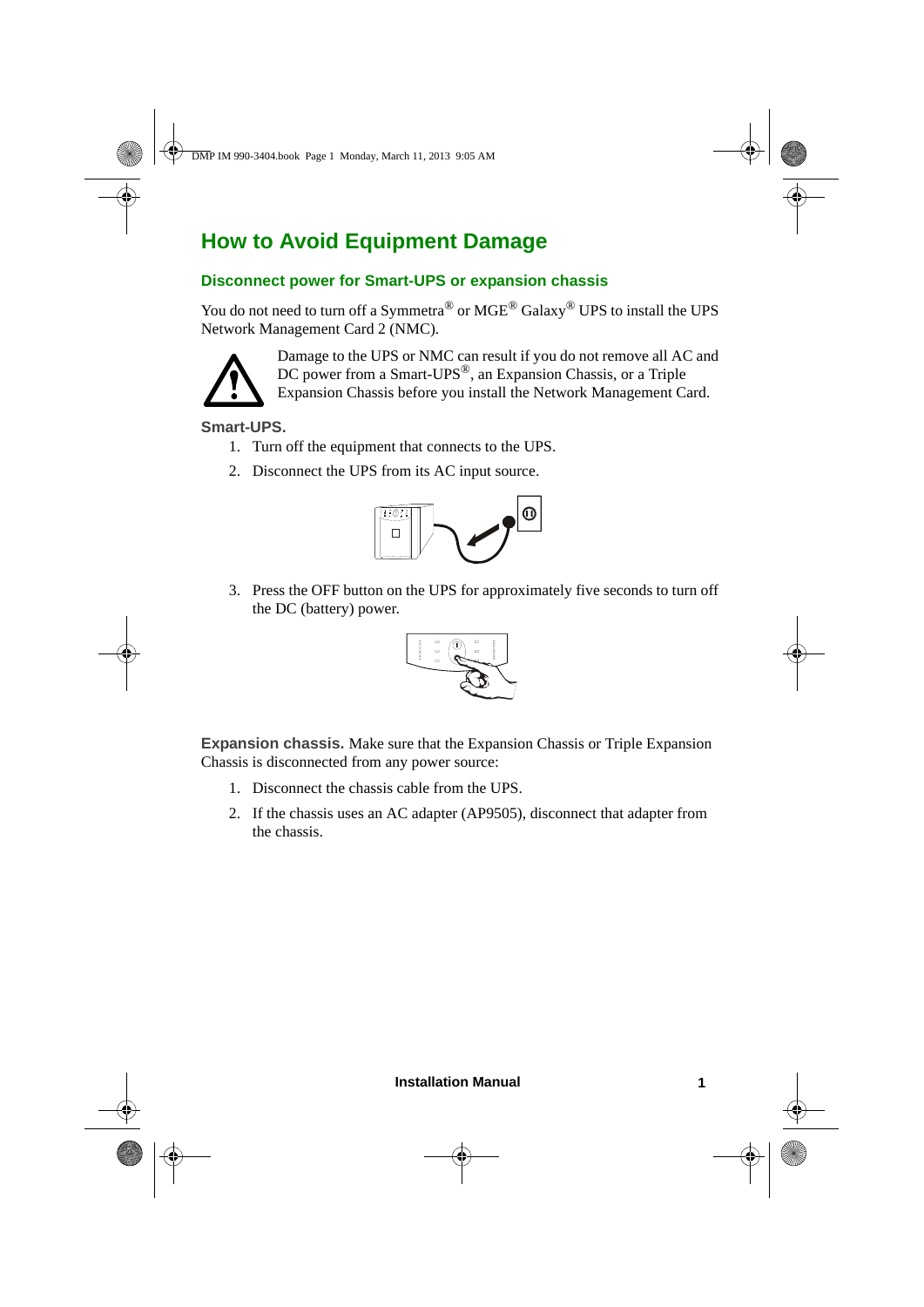### <span id="page-4-0"></span>**How to Avoid Equipment Damage**

#### <span id="page-4-1"></span>**Disconnect power for Smart-UPS or expansion chassis**

You do not need to turn off a Symmetra<sup>®</sup> or  $MGE<sup>®</sup>$  Galaxy<sup>®</sup> UPS to install the UPS Network Management Card 2 (NMC).



Damage to the UPS or NMC can result if you do not remove all AC and DC power from a Smart-UPS®, an Expansion Chassis, or a Triple Expansion Chassis before you install the Network Management Card.

**Smart-UPS.** 

- 1. Turn off the equipment that connects to the UPS.
- 2. Disconnect the UPS from its AC input source.



3. Press the OFF button on the UPS for approximately five seconds to turn off the DC (battery) power.



**Expansion chassis.** Make sure that the Expansion Chassis or Triple Expansion Chassis is disconnected from any power source:

- 1. Disconnect the chassis cable from the UPS.
- 2. If the chassis uses an AC adapter (AP9505), disconnect that adapter from the chassis.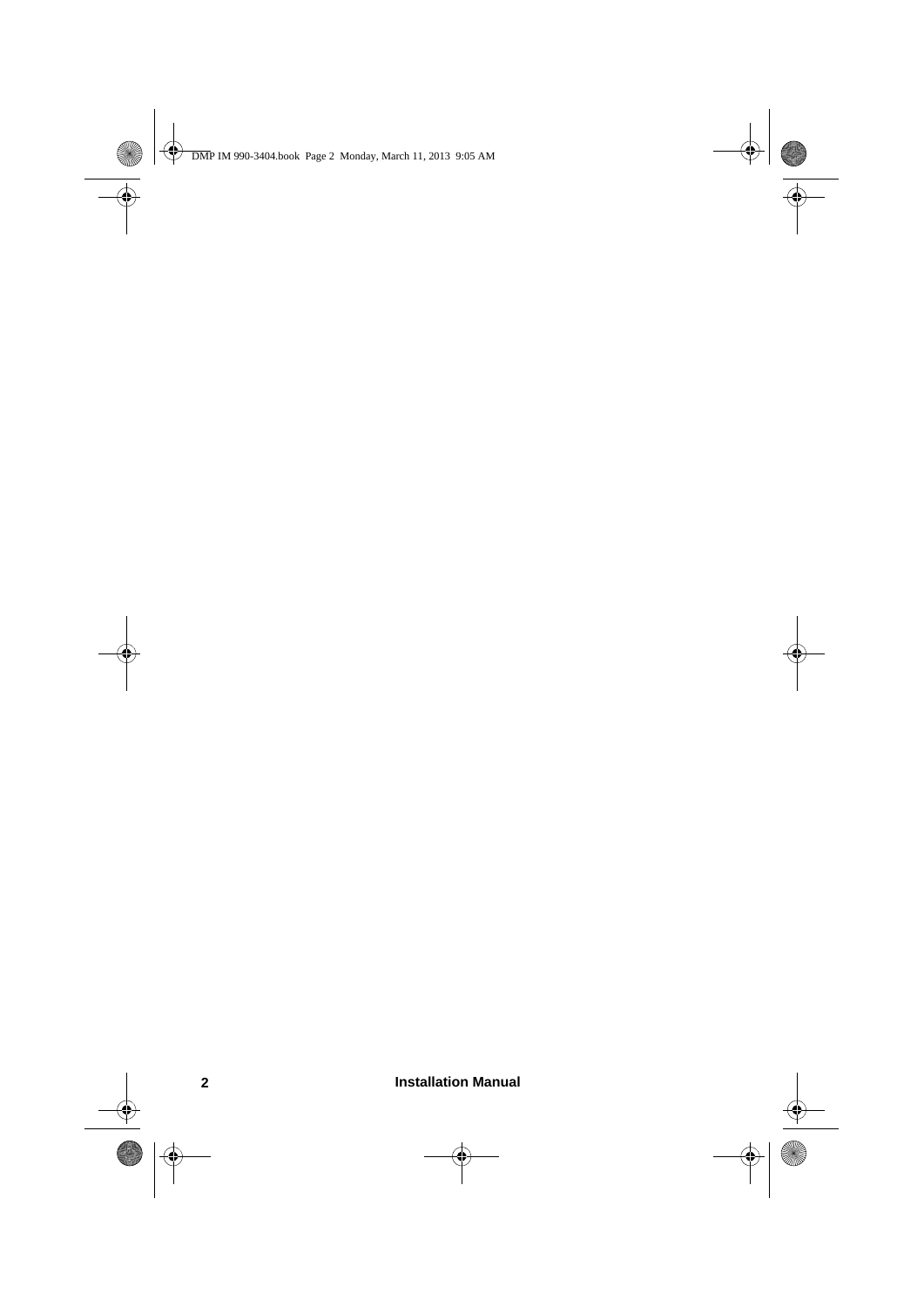#### **Installation Manual**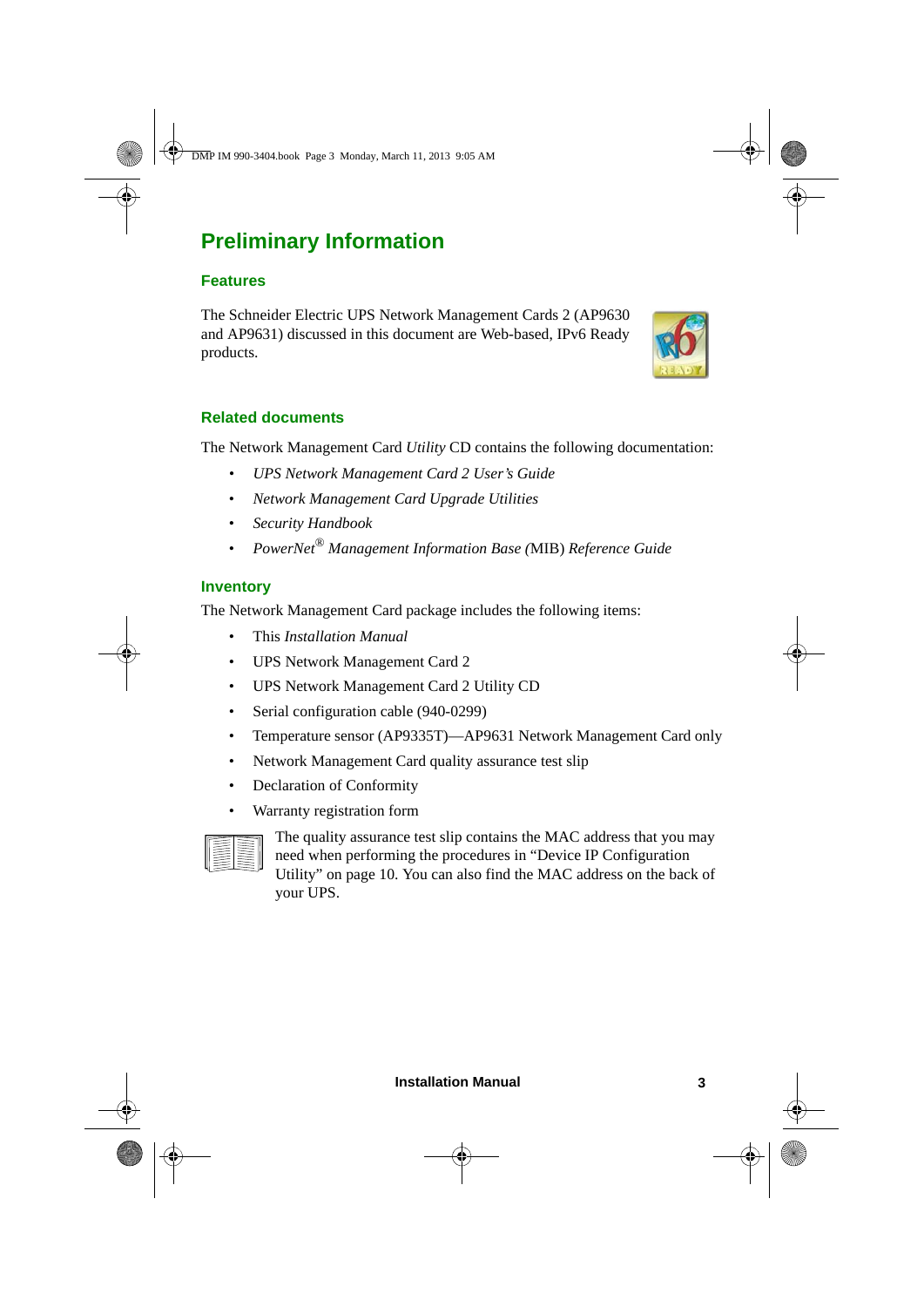### <span id="page-6-0"></span>**Preliminary Information**

#### <span id="page-6-1"></span>**Features**

The Schneider Electric UPS Network Management Cards 2 (AP9630 and AP9631) discussed in this document are Web-based, IPv6 Ready products.



#### <span id="page-6-2"></span>**Related documents**

The Network Management Card *Utility* CD contains the following documentation:

- *UPS Network Management Card 2 User's Guide*
- *Network Management Card Upgrade Utilities*
- *Security Handbook*
- *PowerNet® Management Information Base (*MIB) *Reference Guide*

#### <span id="page-6-3"></span>**Inventory**

The Network Management Card package includes the following items:

- This *Installation Manual*
- UPS Network Management Card 2
- UPS Network Management Card 2 Utility CD
- Serial configuration cable (940-0299)
- Temperature sensor (AP9335T)—AP9631 Network Management Card only
- Network Management Card quality assurance test slip
- Declaration of Conformity
- Warranty registration form



The quality assurance test slip contains the MAC address that you may need when performing the procedures in ["Device IP Configuration](#page-13-2)  [Utility" on page 10](#page-13-2). You can also find the MAC address on the back of your UPS.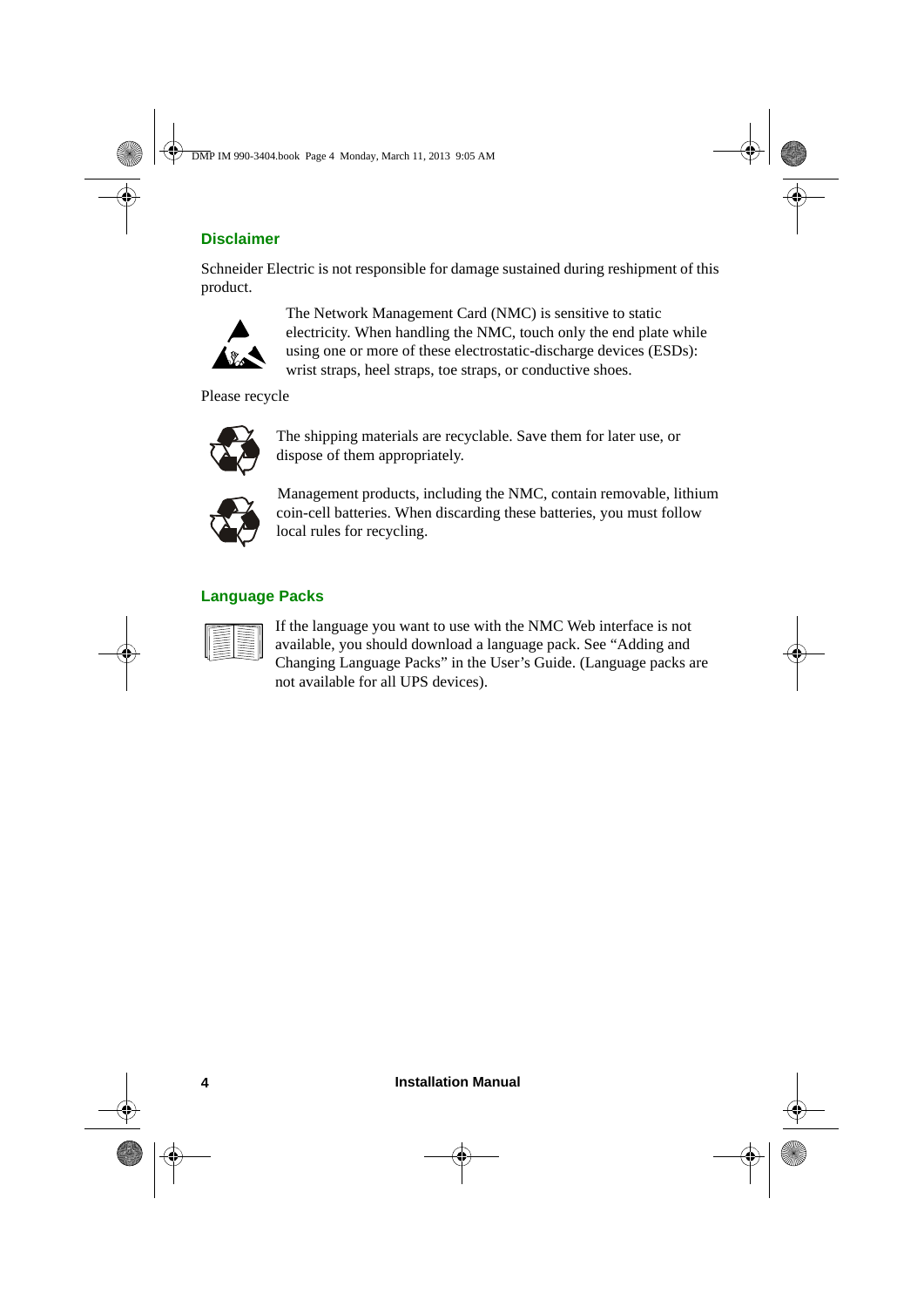#### <span id="page-7-0"></span>**Disclaimer**

Schneider Electric is not responsible for damage sustained during reshipment of this product.



The Network Management Card (NMC) is sensitive to static electricity. When handling the NMC, touch only the end plate while using one or more of these electrostatic-discharge devices (ESDs): wrist straps, heel straps, toe straps, or conductive shoes.

Please recycle



The shipping materials are recyclable. Save them for later use, or dispose of them appropriately.



Management products, including the NMC, contain removable, lithium coin-cell batteries. When discarding these batteries, you must follow local rules for recycling.

#### <span id="page-7-1"></span>**Language Packs**



If the language you want to use with the NMC Web interface is not available, you should download a language pack. See "Adding and Changing Language Packs" in the User's Guide. (Language packs are not available for all UPS devices).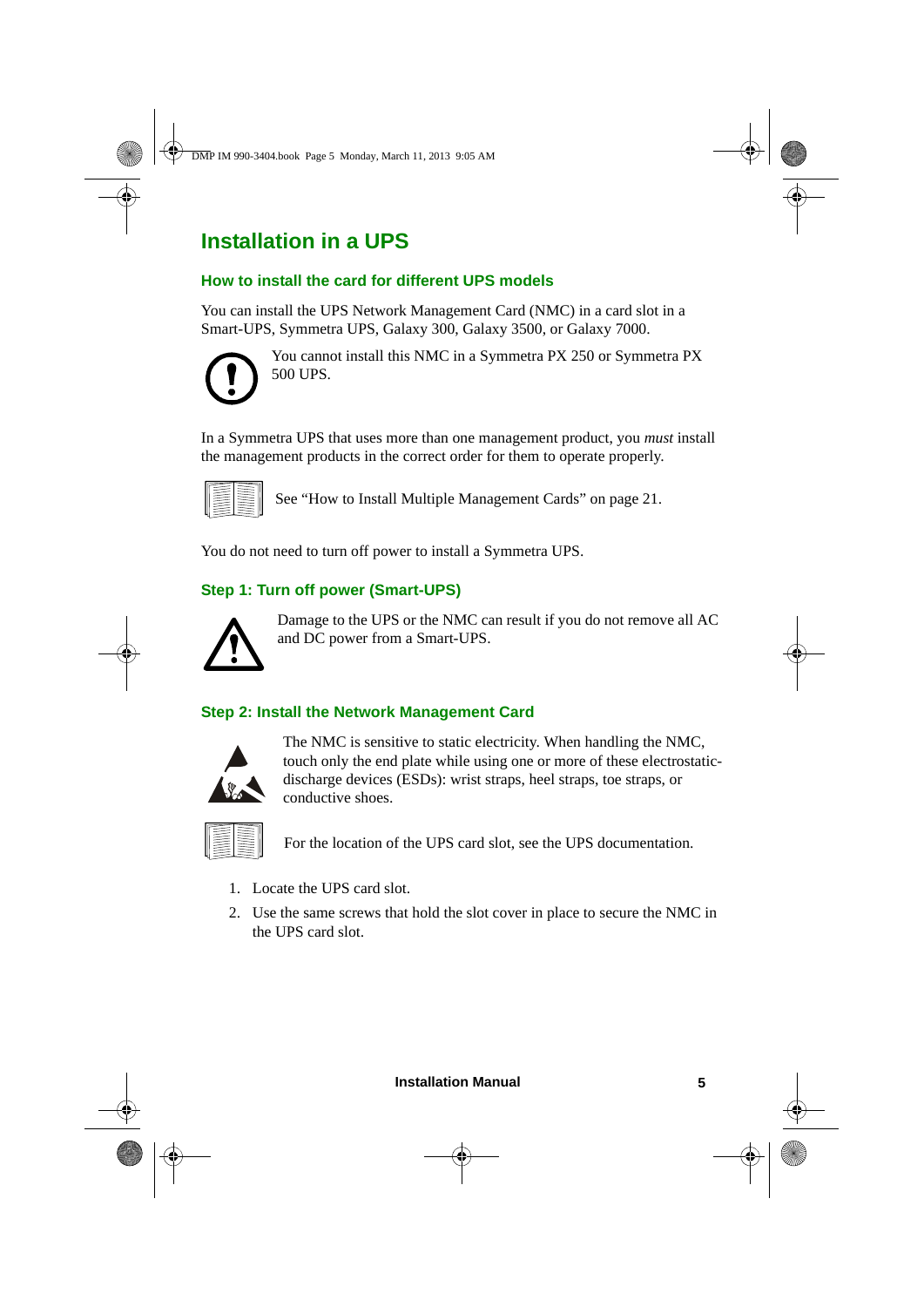### <span id="page-8-0"></span>**Installation in a UPS**

#### <span id="page-8-1"></span>**How to install the card for different UPS models**

You can install the UPS Network Management Card (NMC) in a card slot in a Smart-UPS, Symmetra UPS, Galaxy 300, Galaxy 3500, or Galaxy 7000.



You cannot install this NMC in a Symmetra PX 250 or Symmetra PX 500 UPS.

In a Symmetra UPS that uses more than one management product, you *must* install the management products in the correct order for them to operate properly.



See ["How to Install Multiple Management Cards" on page 21](#page-24-4).

You do not need to turn off power to install a Symmetra UPS.

#### <span id="page-8-2"></span>**Step 1: Turn off power (Smart-UPS)**



Damage to the UPS or the NMC can result if you do not remove all AC and DC power from a Smart-UPS.

#### <span id="page-8-3"></span>**Step 2: Install the Network Management Card**



The NMC is sensitive to static electricity. When handling the NMC, touch only the end plate while using one or more of these electrostaticdischarge devices (ESDs): wrist straps, heel straps, toe straps, or conductive shoes.



For the location of the UPS card slot, see the UPS documentation.

- 1. Locate the UPS card slot.
- 2. Use the same screws that hold the slot cover in place to secure the NMC in the UPS card slot.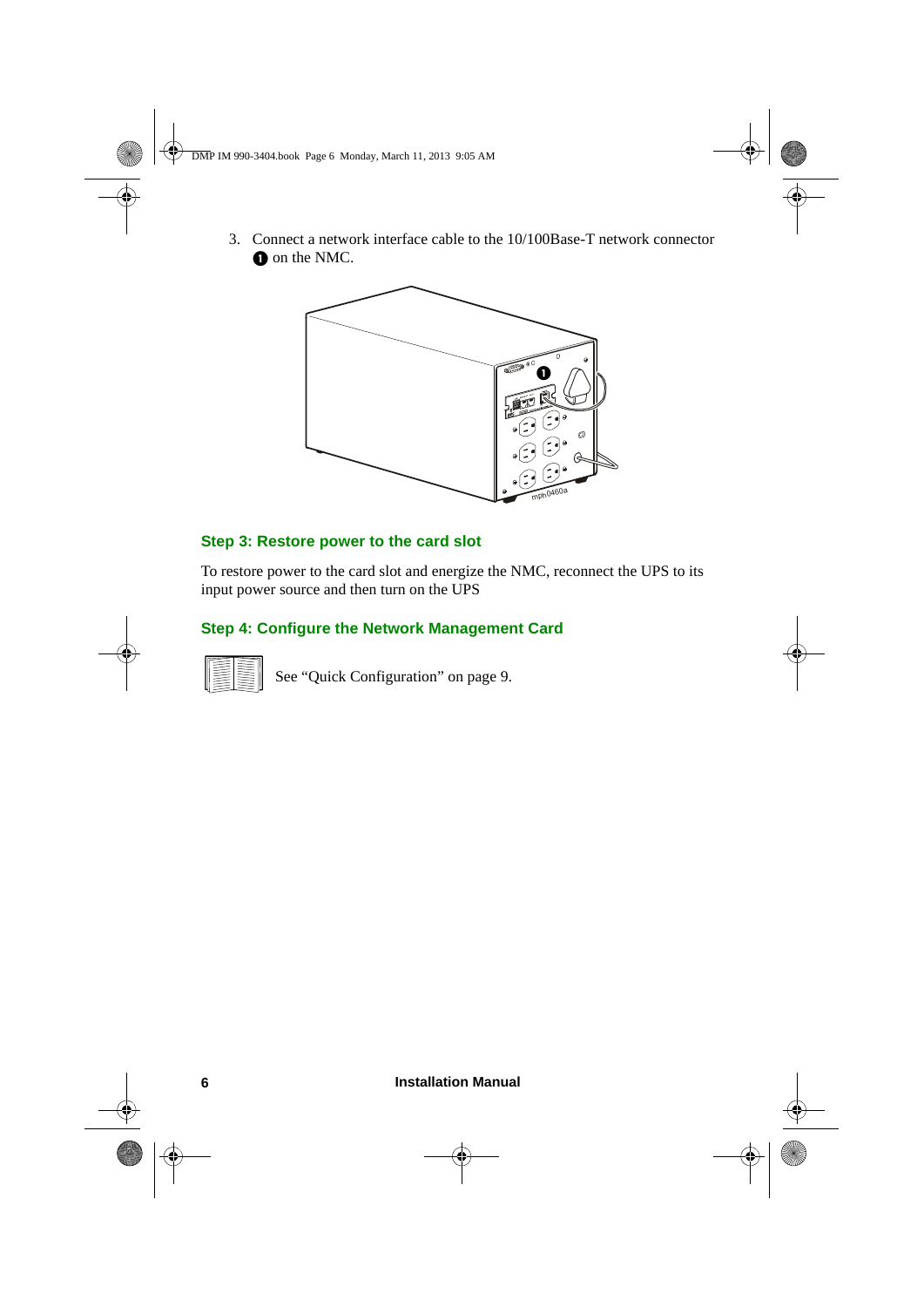3. Connect a network interface cable to the 10/100Base-T network connector **O** on the NMC.



#### <span id="page-9-0"></span>**Step 3: Restore power to the card slot**

To restore power to the card slot and energize the NMC, reconnect the UPS to its input power source and then turn on the UPS

#### <span id="page-9-1"></span>**Step 4: Configure the Network Management Card**



[See "Quick Configuration" on page 9.](#page-12-3)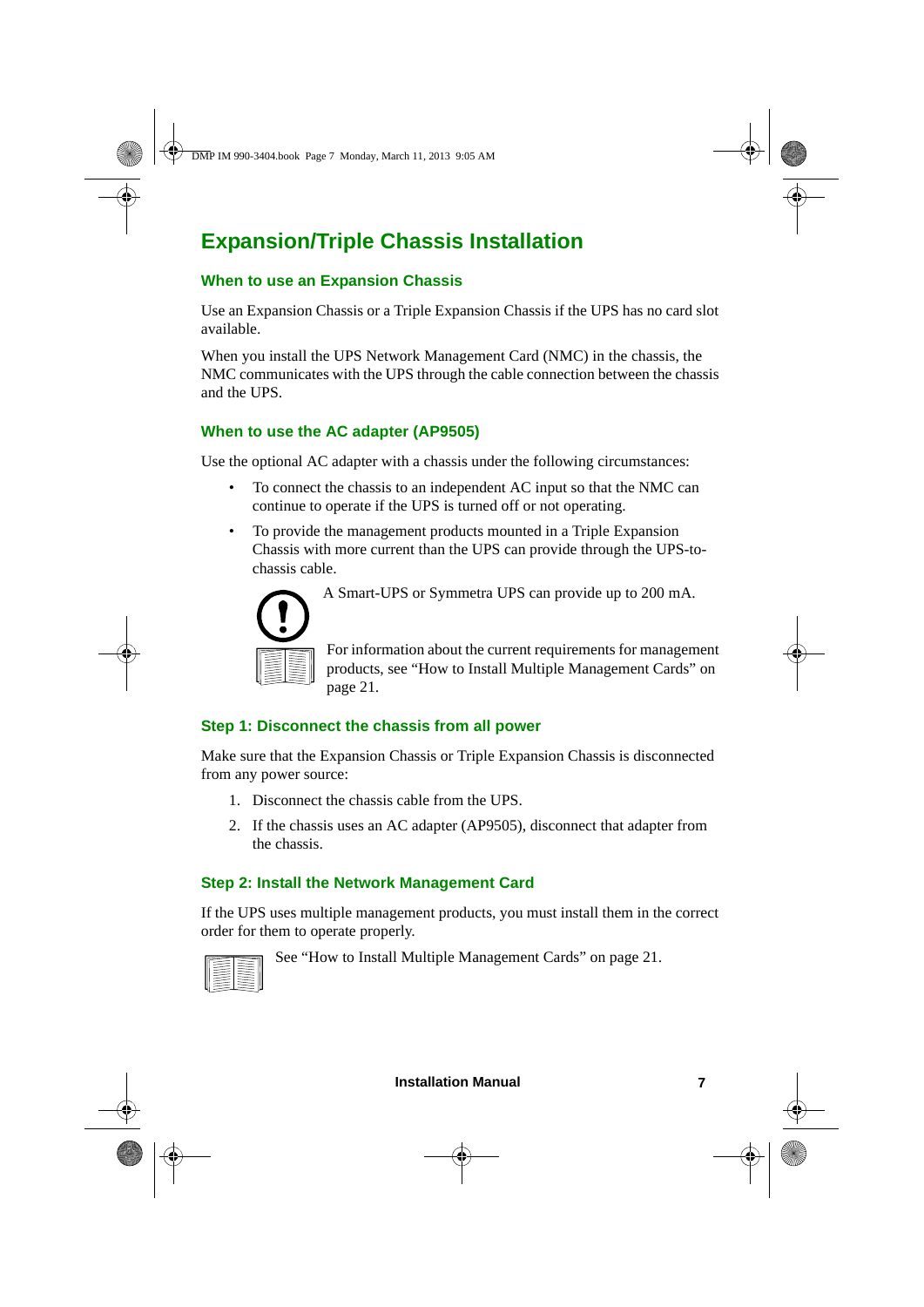### <span id="page-10-0"></span>**Expansion/Triple Chassis Installation**

#### <span id="page-10-1"></span>**When to use an Expansion Chassis**

Use an Expansion Chassis or a Triple Expansion Chassis if the UPS has no card slot available.

When you install the UPS Network Management Card (NMC) in the chassis, the NMC communicates with the UPS through the cable connection between the chassis and the UPS.

#### <span id="page-10-2"></span>**When to use the AC adapter (AP9505)**

Use the optional AC adapter with a chassis under the following circumstances:

- To connect the chassis to an independent AC input so that the NMC can continue to operate if the UPS is turned off or not operating.
- To provide the management products mounted in a Triple Expansion Chassis with more current than the UPS can provide through the UPS-tochassis cable.



A Smart-UPS or Symmetra UPS can provide up to 200 mA.

For information about the current requirements for management products, see ["How to Install Multiple Management Cards" on](#page-24-4)  [page 21.](#page-24-4)

#### <span id="page-10-3"></span>**Step 1: Disconnect the chassis from all power**

Make sure that the Expansion Chassis or Triple Expansion Chassis is disconnected from any power source:

- 1. Disconnect the chassis cable from the UPS.
- 2. If the chassis uses an AC adapter (AP9505), disconnect that adapter from the chassis.

#### <span id="page-10-4"></span>**Step 2: Install the Network Management Card**

If the UPS uses multiple management products, you must install them in the correct order for them to operate properly.



See ["How to Install Multiple Management Cards" on page 21](#page-24-4).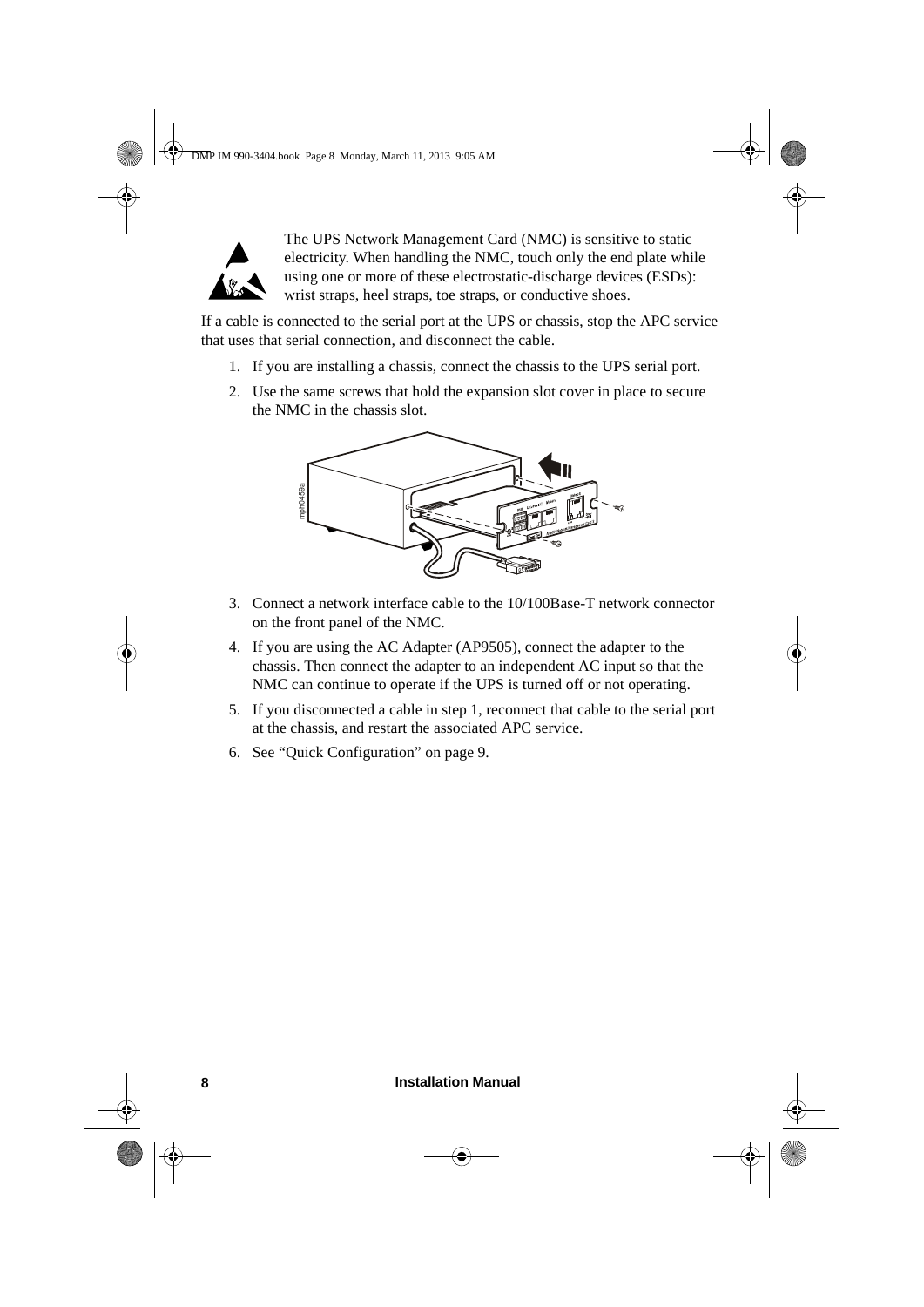

The UPS Network Management Card (NMC) is sensitive to static electricity. When handling the NMC, touch only the end plate while using one or more of these electrostatic-discharge devices (ESDs): wrist straps, heel straps, toe straps, or conductive shoes.

If a cable is connected to the serial port at the UPS or chassis, stop the APC service that uses that serial connection, and disconnect the cable.

- 1. If you are installing a chassis, connect the chassis to the UPS serial port.
- 2. Use the same screws that hold the expansion slot cover in place to secure the NMC in the chassis slot.



- 3. Connect a network interface cable to the 10/100Base-T network connector on the front panel of the NMC.
- 4. If you are using the AC Adapter (AP9505), connect the adapter to the chassis. Then connect the adapter to an independent AC input so that the NMC can continue to operate if the UPS is turned off or not operating.
- 5. If you disconnected a cable in step 1, reconnect that cable to the serial port at the chassis, and restart the associated APC service.
-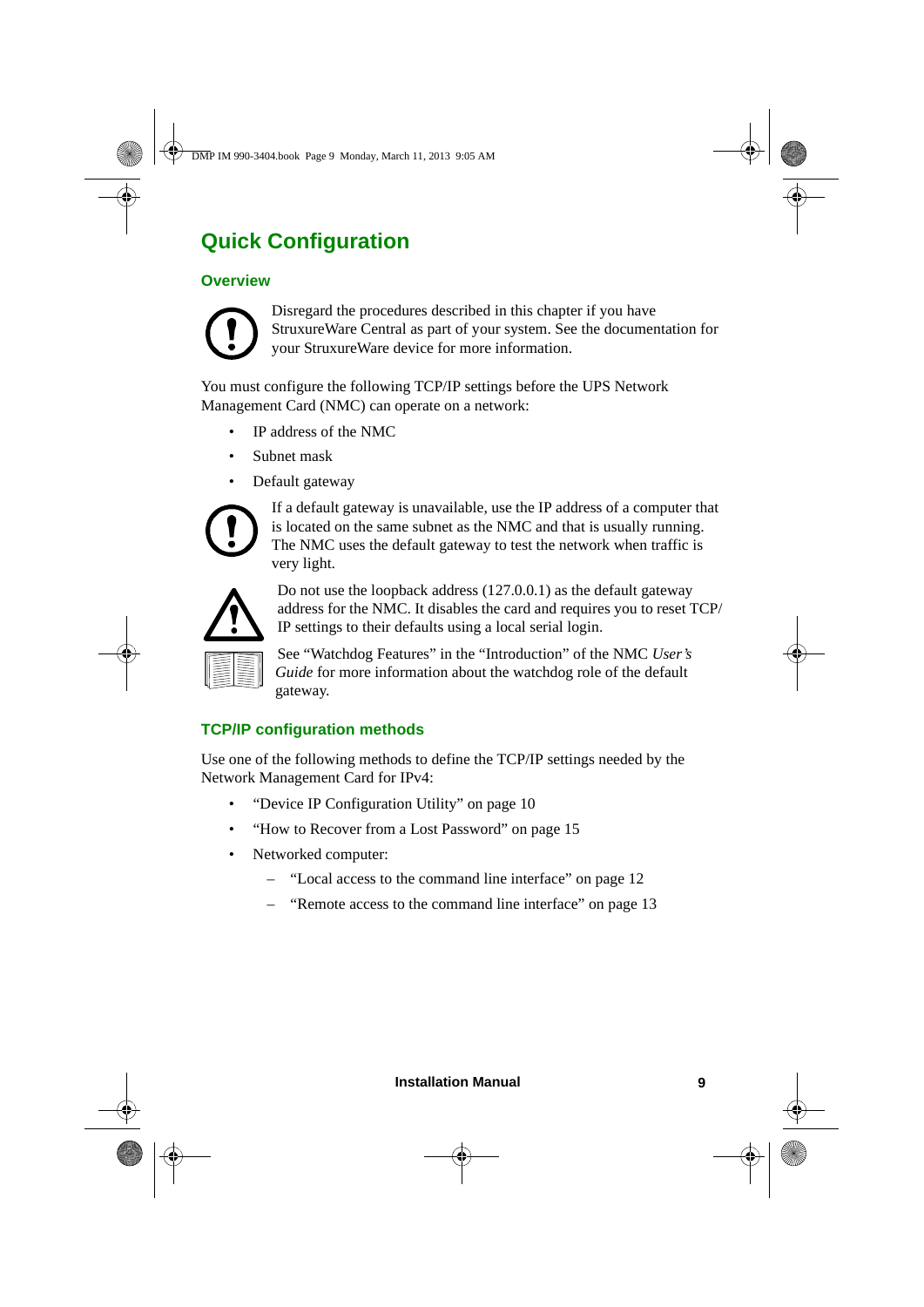### <span id="page-12-3"></span><span id="page-12-0"></span>**Quick Configuration**

#### <span id="page-12-1"></span>**Overview**



Disregard the procedures described in this chapter if you have StruxureWare Central as part of your system. See the documentation for your StruxureWare device for more information.

You must configure the following TCP/IP settings before the UPS Network Management Card (NMC) can operate on a network:

- IP address of the NMC
- Subnet mask
- Default gateway



If a default gateway is unavailable, use the IP address of a computer that is located on the same subnet as the NMC and that is usually running. The NMC uses the default gateway to test the network when traffic is very light.



Do not use the loopback address (127.0.0.1) as the default gateway address for the NMC. It disables the card and requires you to reset TCP/ IP settings to their defaults using a local serial login.



See "Watchdog Features" in the "Introduction" of the NMC *User's Guide* for more information about the watchdog role of the default gateway.

#### <span id="page-12-2"></span>**TCP/IP configuration methods**

Use one of the following methods to define the TCP/IP settings needed by the Network Management Card for IPv4:

- ["Device IP Configuration Utility" on page 10](#page-13-3)
- ["How to Recover from a Lost Password" on page 15](#page-18-1)
- Networked computer:
	- – ["Local access to the command line interface" on page 12](#page-15-1)
	- – ["Remote access to the command line interface" on page 13](#page-16-1)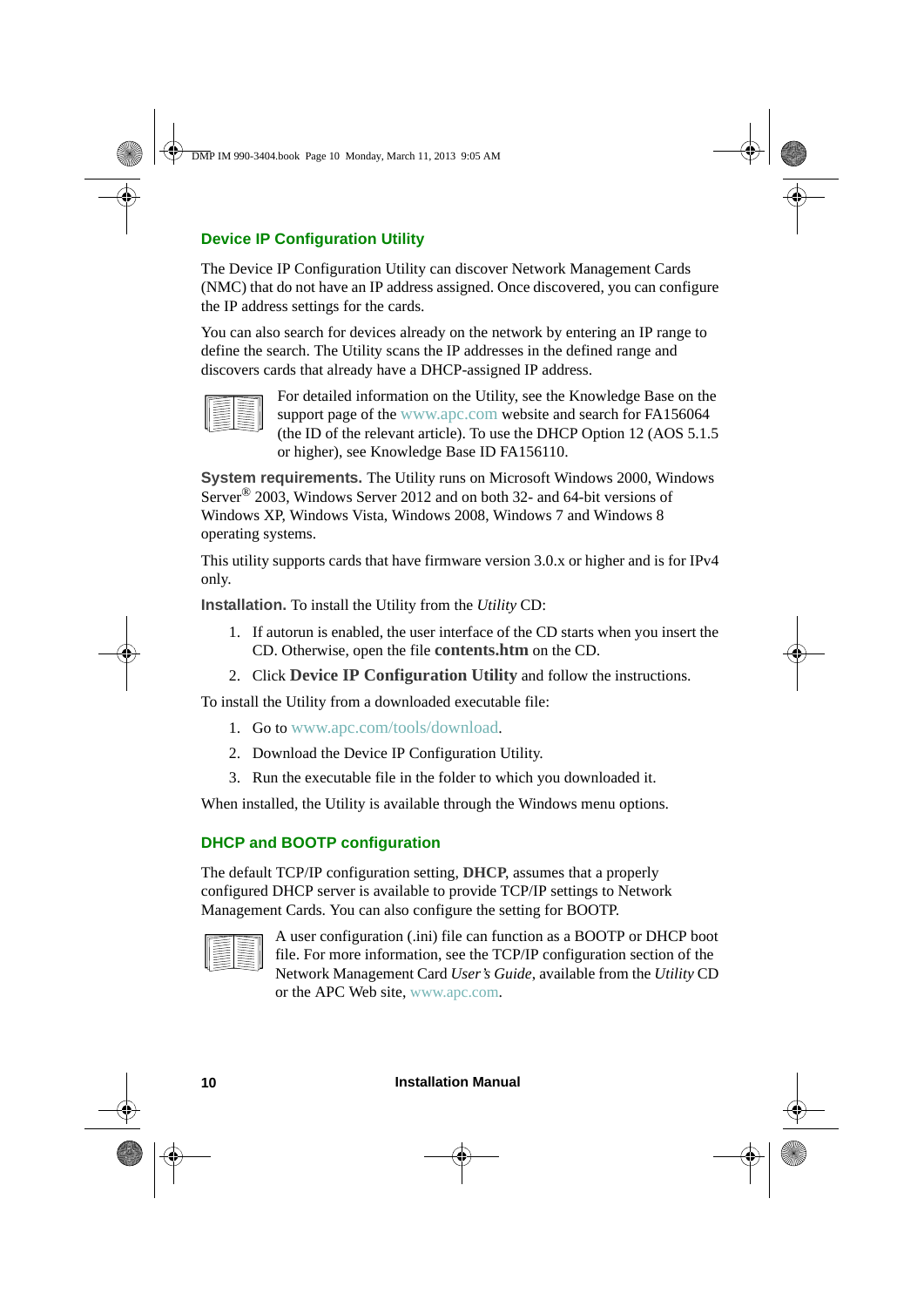#### <span id="page-13-3"></span><span id="page-13-2"></span><span id="page-13-0"></span>**Device IP Configuration Utility**

The Device IP Configuration Utility can discover Network Management Cards (NMC) that do not have an IP address assigned. Once discovered, you can configure the IP address settings for the cards.

You can also search for devices already on the network by entering an IP range to define the search. The Utility scans the IP addresses in the defined range and discovers cards that already have a DHCP-assigned IP address.



[For detailed information on the Utility, see the Knowledge Base on the](http://www.apc.com/)  [support page of the](http://www.apc.com/) www.apc.com website and search for FA156064 (the ID of the relevant article). To use the DHCP Option 12 (AOS 5.1.5 or higher), see Knowledge Base ID FA156110.

**System requirements.** The Utility runs on Microsoft Windows 2000, Windows Server® 2003, Windows Server 2012 and on both 32- and 64-bit versions of Windows XP, Windows Vista, Windows 2008, Windows 7 and Windows 8 operating systems.

This utility supports cards that have firmware version 3.0.x or higher and is for IPv4 only.

**Installation.** To install the Utility from the *Utility* CD:

- 1. If autorun is enabled, the user interface of the CD starts when you insert the CD. Otherwise, open the file **contents.htm** on the CD.
- 2. Click **Device IP Configuration Utility** and follow the instructions.

To install the Utility from a downloaded executable file:

- 1. Go to [www.apc.com/tools/download](http://www.apc.com/tools/download).
- 2. Download the Device IP Configuration Utility.
- 3. Run the executable file in the folder to which you downloaded it.

When installed, the Utility is available through the Windows menu options.

#### <span id="page-13-1"></span>**DHCP and BOOTP configuration**

The default TCP/IP configuration setting, **DHCP**, assumes that a properly configured DHCP server is available to provide TCP/IP settings to Network Management Cards. You can also configure the setting for BOOTP.



A user configuration (.ini) file can function as a BOOTP or DHCP boot file. For more information, see the TCP/IP configuration section of the Network Management Card *User's Guide*, available from the *Utility* CD or the APC Web site, www.apc.com.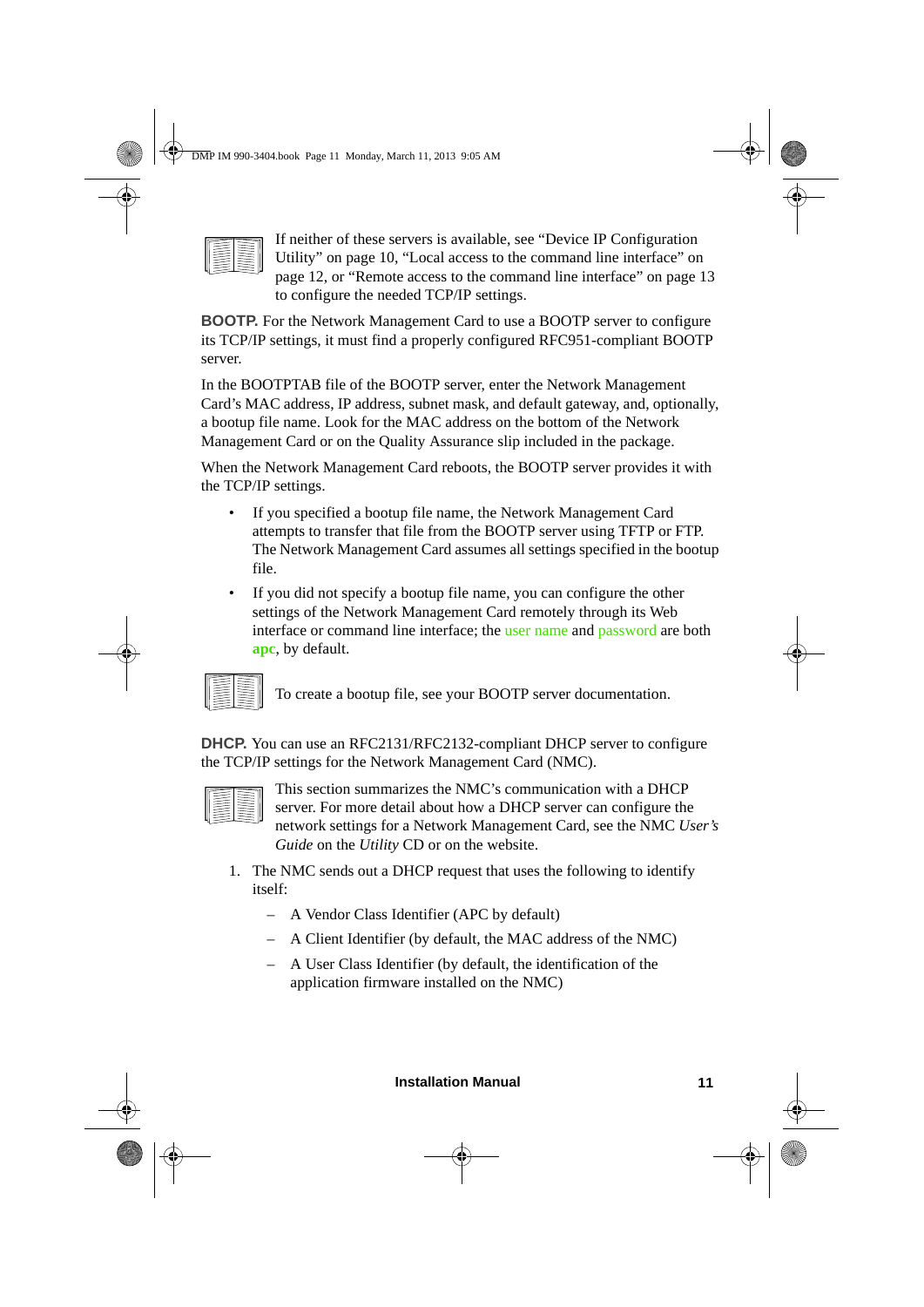

If neither of these servers is available, see ["Device IP Configuration](#page-13-3)  [Utility" on page 10](#page-13-3), ["Local access to the command line interface" on](#page-15-1)  [page 12,](#page-15-1) or ["Remote access to the command line interface" on page 13](#page-16-1)  to configure the needed TCP/IP settings.

**BOOTP.** For the Network Management Card to use a BOOTP server to configure its TCP/IP settings, it must find a properly configured RFC951-compliant BOOTP server.

In the BOOTPTAB file of the BOOTP server, enter the Network Management Card's MAC address, IP address, subnet mask, and default gateway, and, optionally, a bootup file name. Look for the MAC address on the bottom of the Network Management Card or on the Quality Assurance slip included in the package.

When the Network Management Card reboots, the BOOTP server provides it with the TCP/IP settings.

- If you specified a bootup file name, the Network Management Card attempts to transfer that file from the BOOTP server using TFTP or FTP. The Network Management Card assumes all settings specified in the bootup file.
- If you did not specify a bootup file name, you can configure the other settings of the Network Management Card remotely through its Web interface or command line interface; the user name and password are both **apc**, by default.



To create a bootup file, see your BOOTP server documentation.

**DHCP.** You can use an RFC2131/RFC2132-compliant DHCP server to configure the TCP/IP settings for the Network Management Card (NMC).



This section summarizes the NMC's communication with a DHCP server. For more detail about how a DHCP server can configure the network settings for a Network Management Card, see the NMC *User's Guide* on the *Utility* CD or on the website.

- 1. The NMC sends out a DHCP request that uses the following to identify itself:
	- A Vendor Class Identifier (APC by default)
	- A Client Identifier (by default, the MAC address of the NMC)
	- A User Class Identifier (by default, the identification of the application firmware installed on the NMC)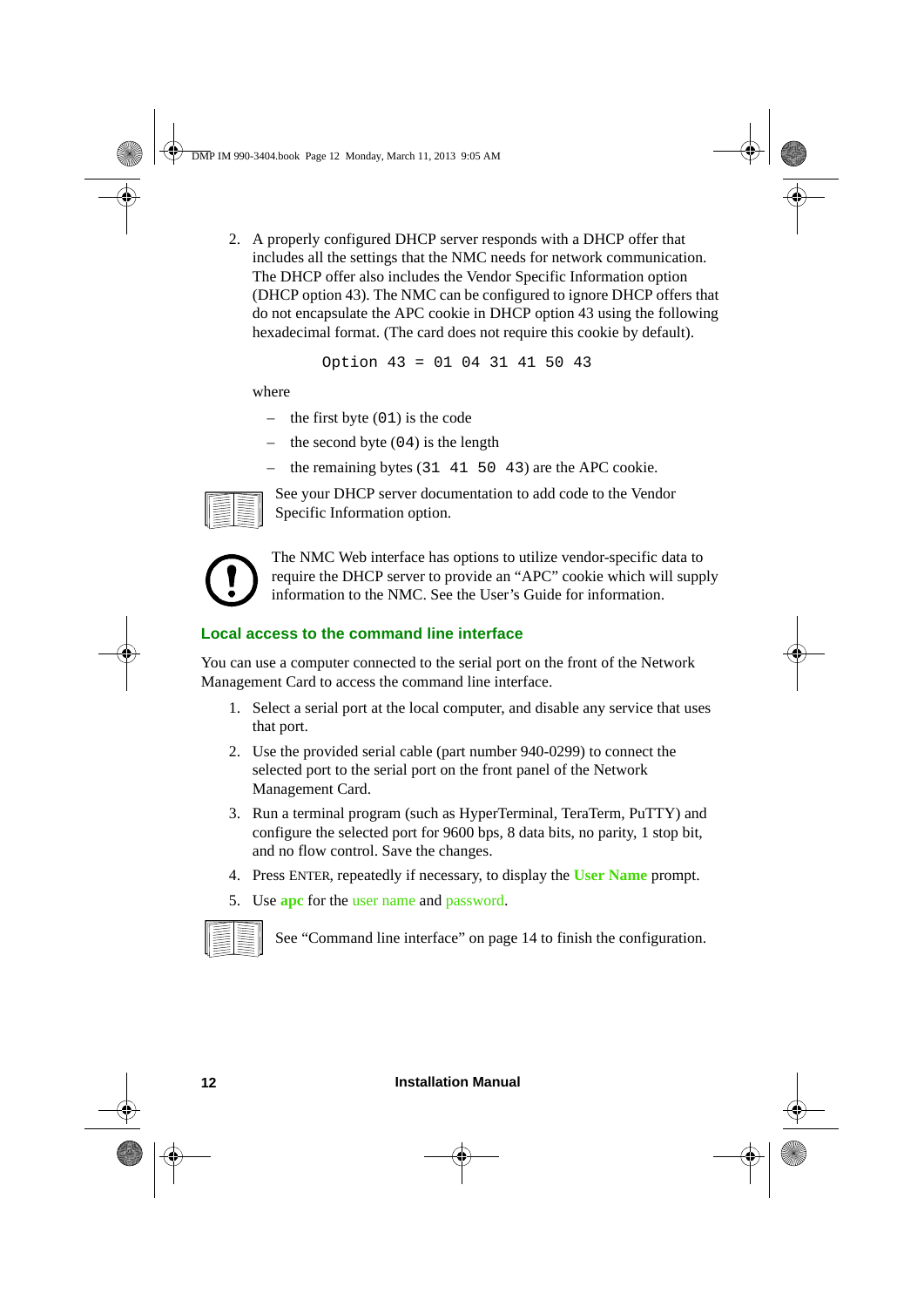2. A properly configured DHCP server responds with a DHCP offer that includes all the settings that the NMC needs for network communication. The DHCP offer also includes the Vendor Specific Information option (DHCP option 43). The NMC can be configured to ignore DHCP offers that do not encapsulate the APC cookie in DHCP option 43 using the following hexadecimal format. (The card does not require this cookie by default).

Option 43 = 01 04 31 41 50 43

where

- the first byte (01) is the code
- the second byte  $(04)$  is the length
- the remaining bytes (31 41 50 43) are the APC cookie.



See your DHCP server documentation to add code to the Vendor Specific Information option.



The NMC Web interface has options to utilize vendor-specific data to require the DHCP server to provide an "APC" cookie which will supply information to the NMC. See the User's Guide for information.

#### <span id="page-15-1"></span><span id="page-15-0"></span>**Local access to the command line interface**

You can use a computer connected to the serial port on the front of the Network Management Card to access the command line interface.

- 1. Select a serial port at the local computer, and disable any service that uses that port.
- 2. Use the provided serial cable (part number 940-0299) to connect the selected port to the serial port on the front panel of the Network Management Card.
- 3. Run a terminal program (such as HyperTerminal, TeraTerm, PuTTY) and configure the selected port for 9600 bps, 8 data bits, no parity, 1 stop bit, and no flow control. Save the changes.
- 4. Press ENTER, repeatedly if necessary, to display the **User Name** prompt.
- 5. Use **apc** for the user name and password.



See ["Command line interface" on page](#page-17-2) 14 to finish the configuration.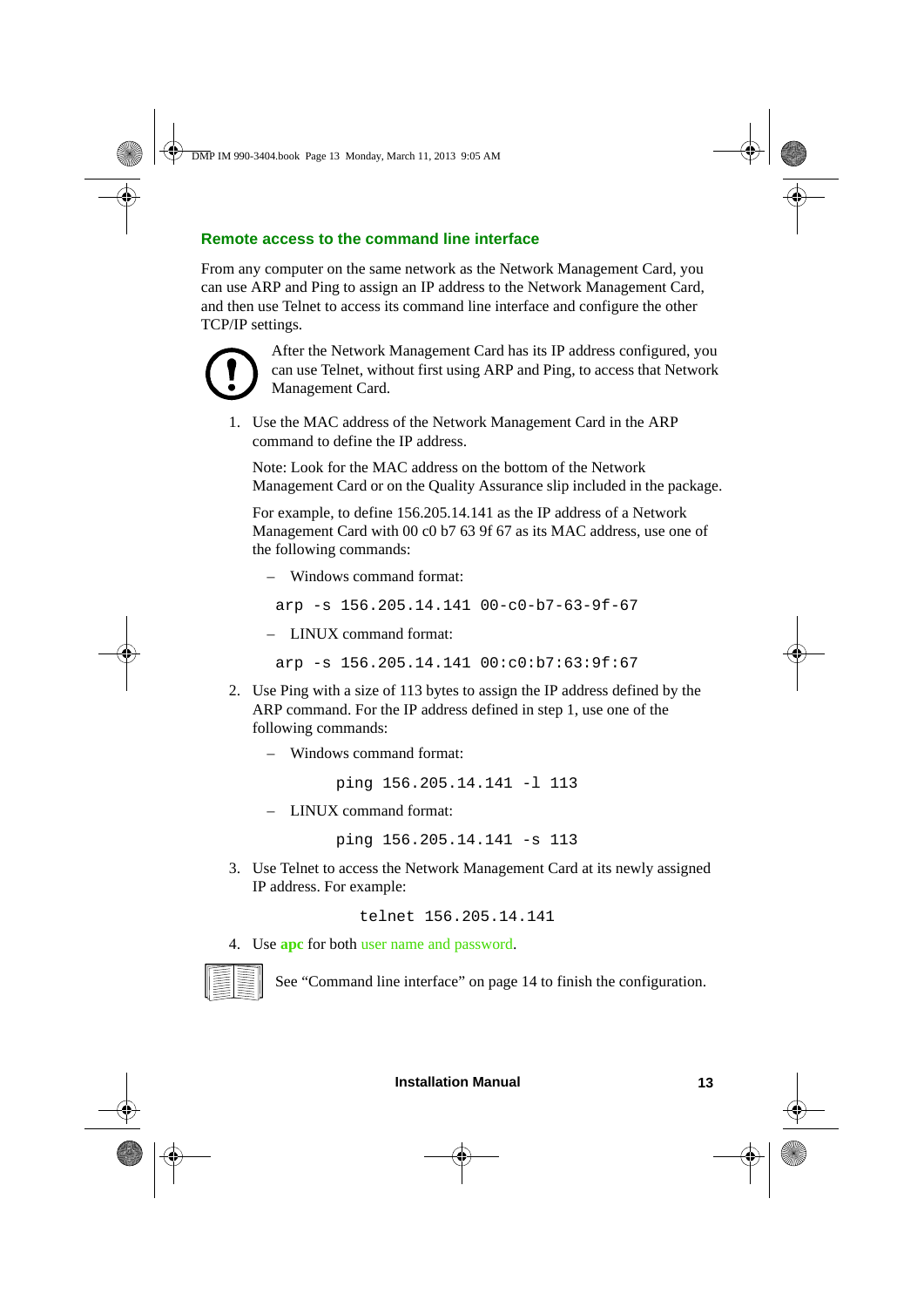#### <span id="page-16-1"></span><span id="page-16-0"></span>**Remote access to the command line interface**

From any computer on the same network as the Network Management Card, you can use ARP and Ping to assign an IP address to the Network Management Card, and then use Telnet to access its command line interface and configure the other TCP/IP settings.



After the Network Management Card has its IP address configured, you can use Telnet, without first using ARP and Ping, to access that Network Management Card.

1. Use the MAC address of the Network Management Card in the ARP command to define the IP address.

Note: Look for the MAC address on the bottom of the Network Management Card or on the Quality Assurance slip included in the package.

For example, to define 156.205.14.141 as the IP address of a Network Management Card with 00 c0 b7 63 9f 67 as its MAC address, use one of the following commands:

– Windows command format:

arp -s 156.205.14.141 00-c0-b7-63-9f-67

– LINUX command format:

arp -s 156.205.14.141 00:c0:b7:63:9f:67

- 2. Use Ping with a size of 113 bytes to assign the IP address defined by the ARP command. For the IP address defined in step 1, use one of the following commands:
	- Windows command format:

ping 156.205.14.141 -l 113

– LINUX command format:

ping 156.205.14.141 -s 113

3. Use Telnet to access the Network Management Card at its newly assigned IP address. For example:

telnet 156.205.14.141

4. Use **apc** for both user name and password.



See ["Command line interface" on page](#page-17-2) 14 to finish the configuration.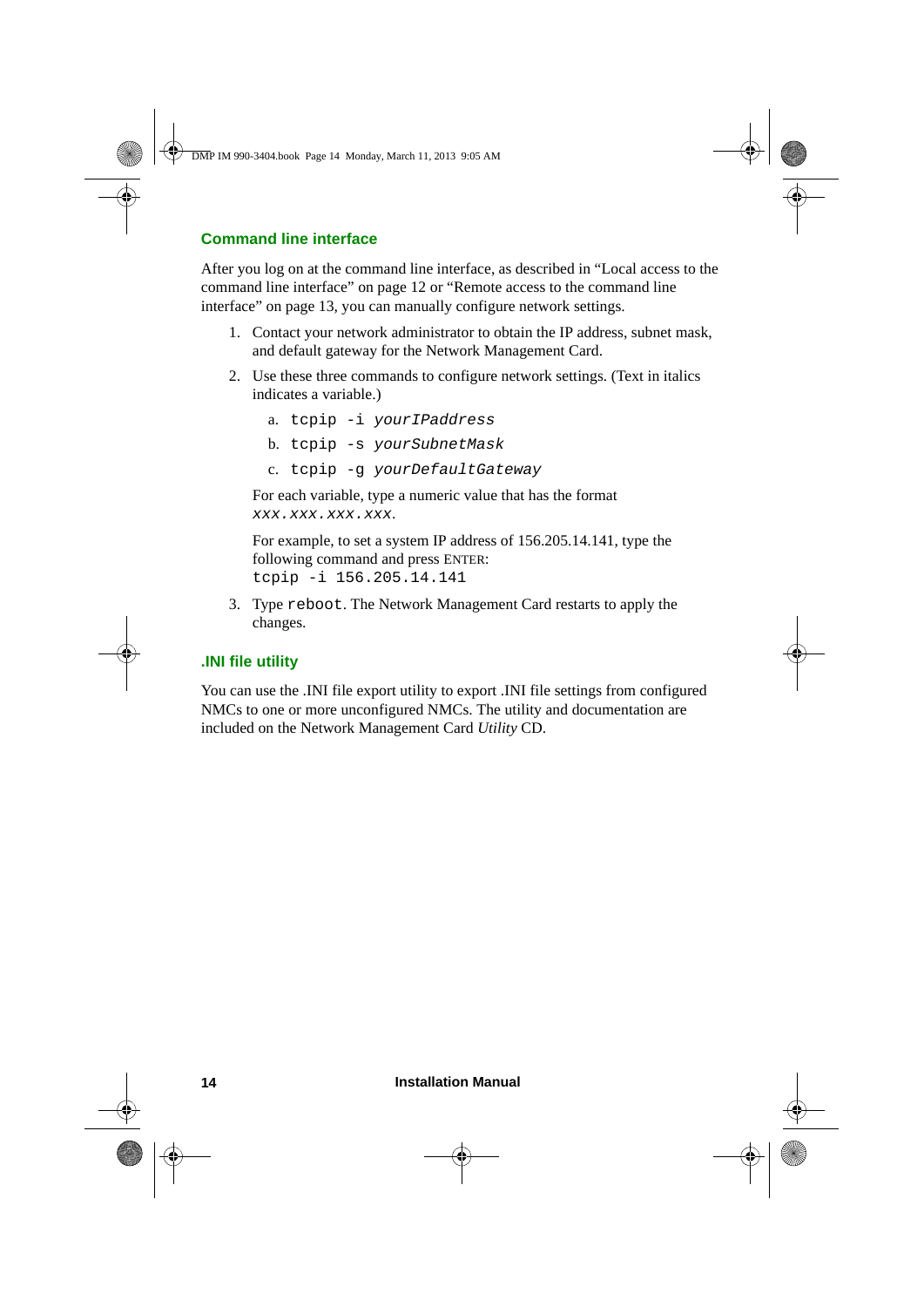#### <span id="page-17-2"></span><span id="page-17-0"></span>**Command line interface**

After you log on at the command line interface, as described in ["Local access to the](#page-15-1)  [command line interface" on page 12](#page-15-1) or ["Remote access to the command line](#page-16-1)  [interface" on page 13](#page-16-1), you can manually configure network settings.

- 1. Contact your network administrator to obtain the IP address, subnet mask, and default gateway for the Network Management Card.
- 2. Use these three commands to configure network settings. (Text in italics indicates a variable.)
	- a. tcpip -i *yourIPaddress*
	- b. tcpip -s *yourSubnetMask*
	- c. tcpip -g *yourDefaultGateway*

For each variable, type a numeric value that has the format *xxx.xxx.xxx.xxx*.

For example, to set a system IP address of 156.205.14.141, type the following command and press ENTER: tcpip -i 156.205.14.141

3. Type reboot. The Network Management Card restarts to apply the changes.

#### <span id="page-17-1"></span>**.INI file utility**

You can use the .INI file export utility to export .INI file settings from configured NMCs to one or more unconfigured NMCs. The utility and documentation are included on the Network Management Card *Utility* CD.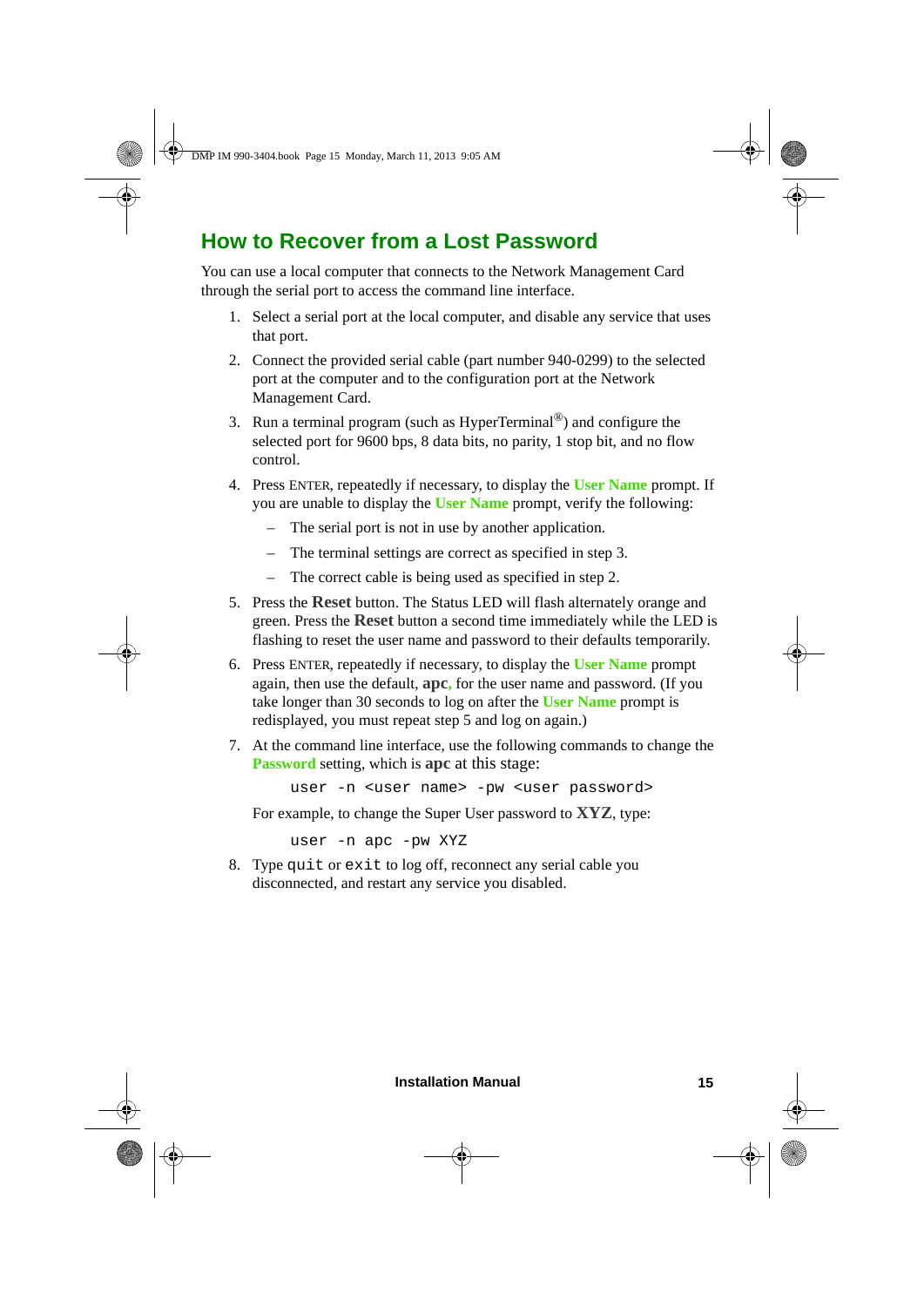### <span id="page-18-1"></span><span id="page-18-0"></span>**How to Recover from a Lost Password**

You can use a local computer that connects to the Network Management Card through the serial port to access the command line interface.

- 1. Select a serial port at the local computer, and disable any service that uses that port.
- 2. Connect the provided serial cable (part number 940-0299) to the selected port at the computer and to the configuration port at the Network Management Card.
- 3. Run a terminal program (such as  $HyperTerminal<sup>®</sup>$ ) and configure the selected port for 9600 bps, 8 data bits, no parity, 1 stop bit, and no flow control.
- 4. Press ENTER, repeatedly if necessary, to display the **User Name** prompt. If you are unable to display the **User Name** prompt, verify the following:
	- The serial port is not in use by another application.
	- The terminal settings are correct as specified in step 3.
	- The correct cable is being used as specified in step 2.
- 5. Press the **Reset** button. The Status LED will flash alternately orange and green. Press the **Reset** button a second time immediately while the LED is flashing to reset the user name and password to their defaults temporarily.
- 6. Press ENTER, repeatedly if necessary, to display the **User Name** prompt again, then use the default, **apc,** for the user name and password. (If you take longer than 30 seconds to log on after the **User Name** prompt is redisplayed, you must repeat step 5 and log on again.)
- 7. At the command line interface, use the following commands to change the **Password** setting, which is **apc** at this stage:

user -n <user name> -pw <user password>

For example, to change the Super User password to **XYZ**, type:

user -n apc -pw XYZ

8. Type quit or exit to log off, reconnect any serial cable you disconnected, and restart any service you disabled.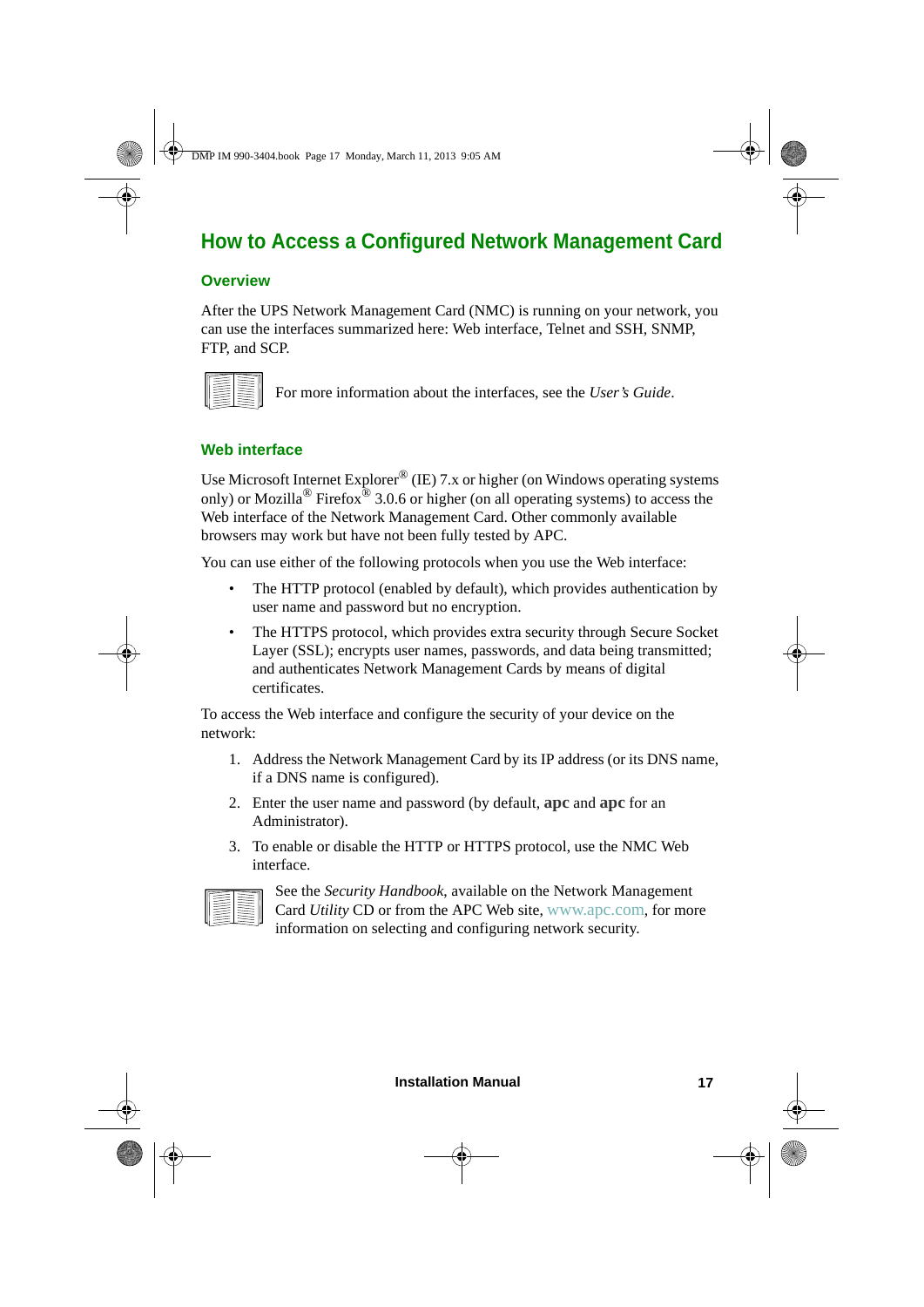### <span id="page-20-0"></span>**How to Access a Configured Network Management Card**

#### <span id="page-20-1"></span>**Overview**

After the UPS Network Management Card (NMC) is running on your network, you can use the interfaces summarized here: Web interface, Telnet and SSH, SNMP, FTP, and SCP.



For more information about the interfaces, see the *User's Guide*.

#### <span id="page-20-2"></span>**Web interface**

Use Microsoft Internet Explorer<sup>®</sup> (IE) 7.x or higher (on Windows operating systems only) or Mozilla<sup>®</sup> Firefox<sup>®</sup> 3.0.6 or higher (on all operating systems) to access the Web interface of the Network Management Card. Other commonly available browsers may work but have not been fully tested by APC.

You can use either of the following protocols when you use the Web interface:

- The HTTP protocol (enabled by default), which provides authentication by user name and password but no encryption.
- The HTTPS protocol, which provides extra security through Secure Socket Layer (SSL); encrypts user names, passwords, and data being transmitted; and authenticates Network Management Cards by means of digital certificates.

To access the Web interface and configure the security of your device on the network:

- 1. Address the Network Management Card by its IP address (or its DNS name, if a DNS name is configured).
- 2. Enter the user name and password (by default, **apc** and **apc** for an Administrator).
- 3. To enable or disable the HTTP or HTTPS protocol, use the NMC Web interface.



See the *Security Handbook*, available on the Network Management Card *Utility* CD or from the APC Web site, www.apc.com, for more information on selecting and configuring network security.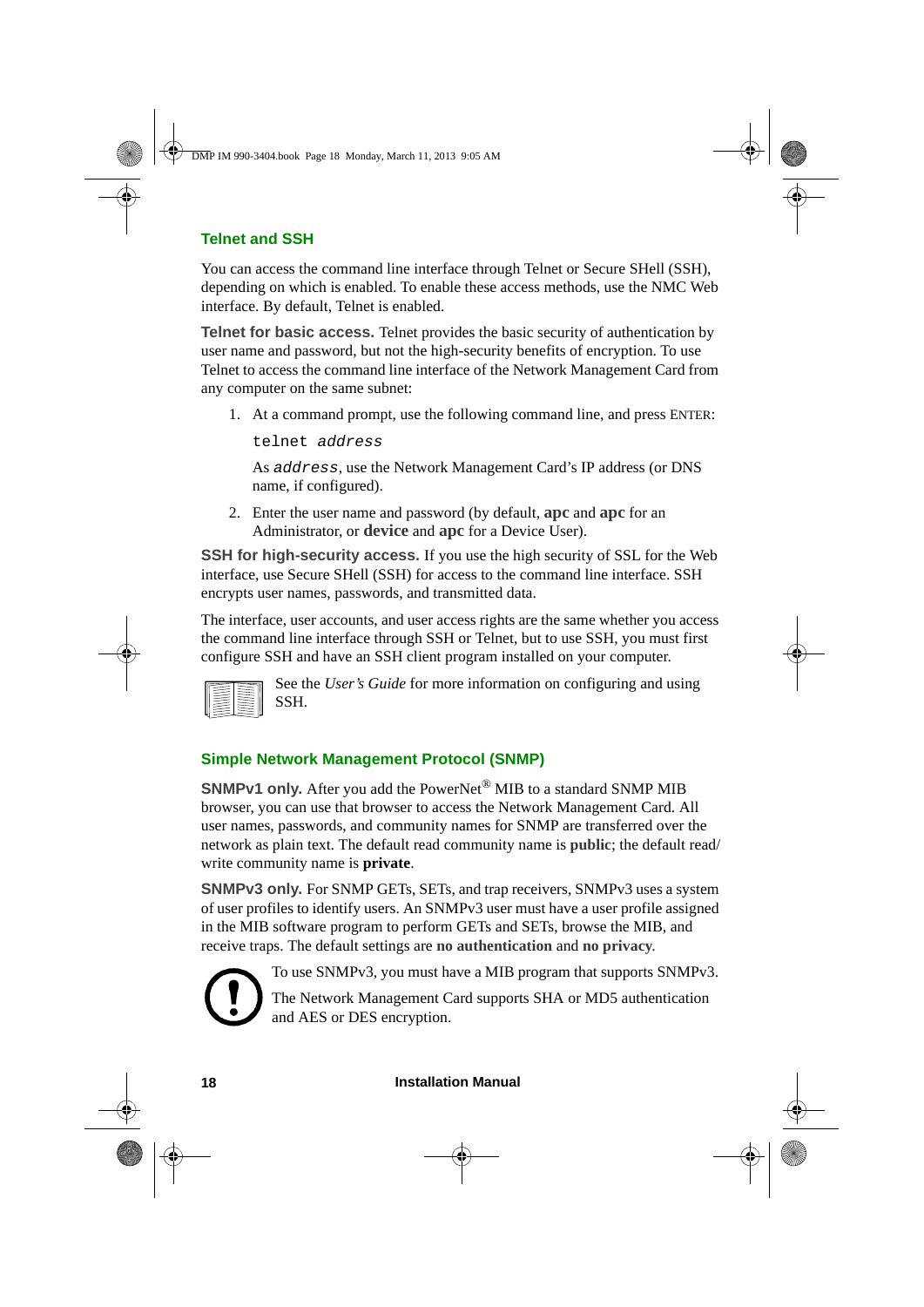#### <span id="page-21-0"></span>**Telnet and SSH**

You can access the command line interface through Telnet or Secure SHell (SSH), depending on which is enabled. To enable these access methods, use the NMC Web interface. By default, Telnet is enabled.

**Telnet for basic access.** Telnet provides the basic security of authentication by user name and password, but not the high-security benefits of encryption. To use Telnet to access the command line interface of the Network Management Card from any computer on the same subnet:

1. At a command prompt, use the following command line, and press ENTER:

telnet *address*

As *address*, use the Network Management Card's IP address (or DNS name, if configured).

2. Enter the user name and password (by default, **apc** and **apc** for an Administrator, or **device** and **apc** for a Device User).

**SSH for high-security access.** If you use the high security of SSL for the Web interface, use Secure SHell (SSH) for access to the command line interface. SSH encrypts user names, passwords, and transmitted data.

The interface, user accounts, and user access rights are the same whether you access the command line interface through SSH or Telnet, but to use SSH, you must first configure SSH and have an SSH client program installed on your computer.



See the *User's Guide* for more information on configuring and using SSH.

#### <span id="page-21-1"></span>**Simple Network Management Protocol (SNMP)**

**SNMPv1 only.** After you add the PowerNet<sup>®</sup> MIB to a standard SNMP MIB browser, you can use that browser to access the Network Management Card. All user names, passwords, and community names for SNMP are transferred over the network as plain text. The default read community name is **public**; the default read/ write community name is **private**.

**SNMPv3 only.** For SNMP GETs, SETs, and trap receivers, SNMPv3 uses a system of user profiles to identify users. An SNMPv3 user must have a user profile assigned in the MIB software program to perform GETs and SETs, browse the MIB, and receive traps. The default settings are **no authentication** and **no privacy**.



To use SNMPv3, you must have a MIB program that supports SNMPv3.

The Network Management Card supports SHA or MD5 authentication and AES or DES encryption.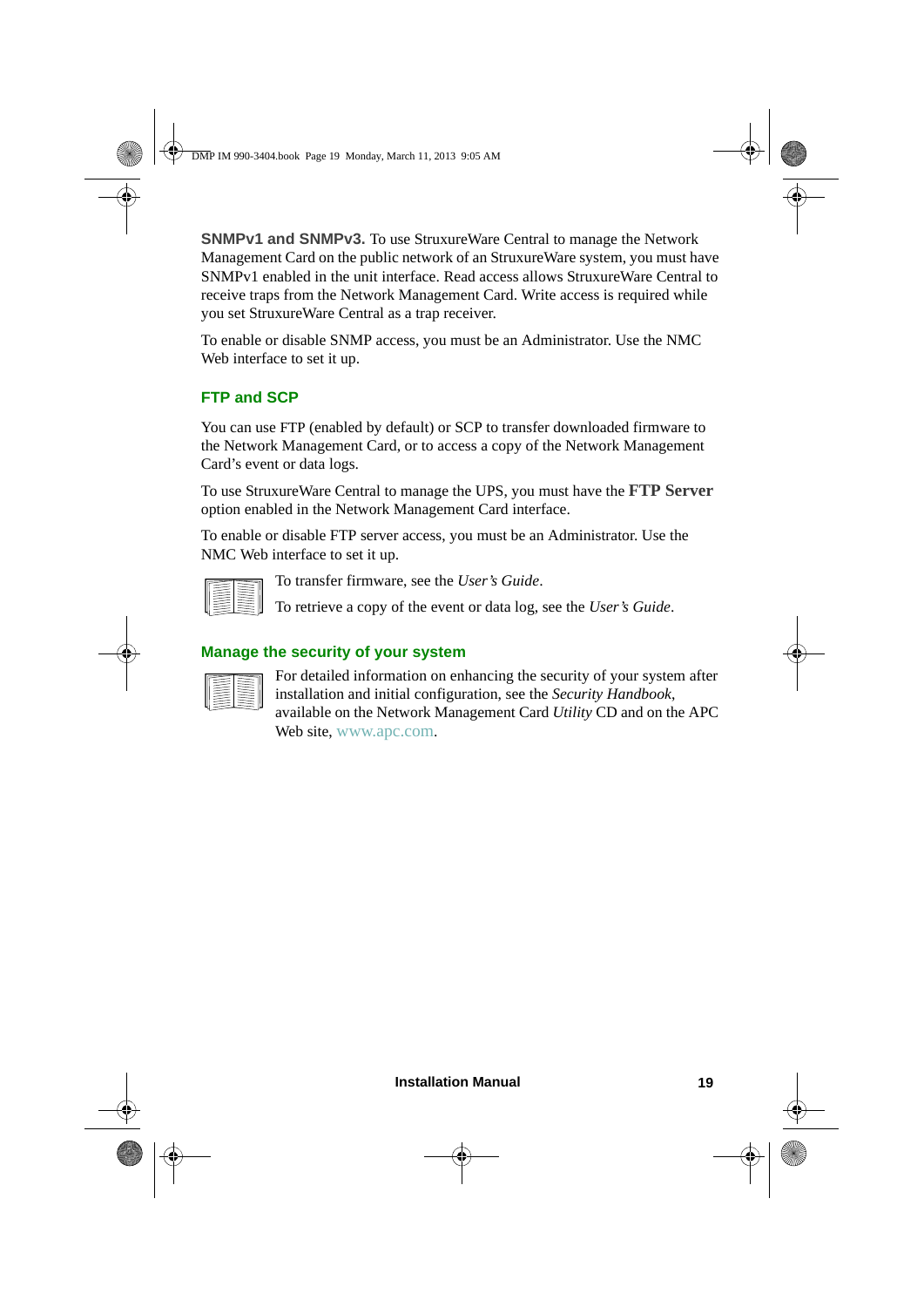**SNMPv1 and SNMPv3.** To use StruxureWare Central to manage the Network Management Card on the public network of an StruxureWare system, you must have SNMPv1 enabled in the unit interface. Read access allows StruxureWare Central to receive traps from the Network Management Card. Write access is required while you set StruxureWare Central as a trap receiver.

To enable or disable SNMP access, you must be an Administrator. Use the NMC Web interface to set it up.

#### <span id="page-22-0"></span>**FTP and SCP**

You can use FTP (enabled by default) or SCP to transfer downloaded firmware to the Network Management Card, or to access a copy of the Network Management Card's event or data logs.

To use StruxureWare Central to manage the UPS, you must have the **FTP Server** option enabled in the Network Management Card interface.

To enable or disable FTP server access, you must be an Administrator. Use the NMC Web interface to set it up.

| ı<br>ı<br>ı      |  |
|------------------|--|
| ı<br>ı<br>ı<br>ı |  |
|                  |  |

To transfer firmware, see the *User's Guide*.

To retrieve a copy of the event or data log, see the *User's Guide*.

#### <span id="page-22-1"></span>**Manage the security of your system**

| u | ٠ |
|---|---|

For detailed information on enhancing the security of your system after installation and initial configuration, see the *Security Handbook*, available on the Network Management Card *Utility* CD and on the APC Web site, www.apc.com.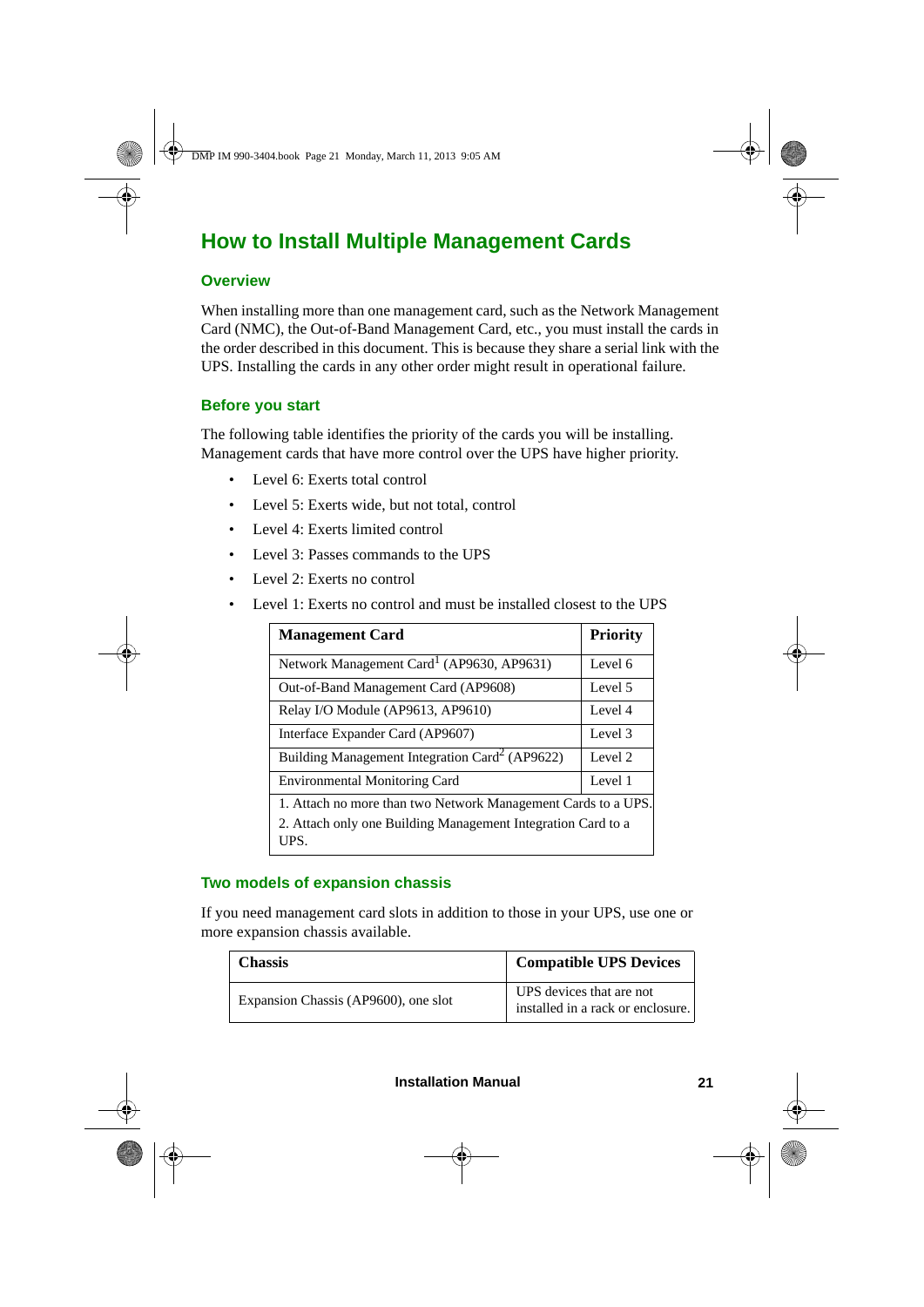### <span id="page-24-4"></span><span id="page-24-0"></span>**How to Install Multiple Management Cards**

#### <span id="page-24-1"></span>**Overview**

When installing more than one management card, such as the Network Management Card (NMC), the Out-of-Band Management Card, etc., you must install the cards in the order described in this document. This is because they share a serial link with the UPS. Installing the cards in any other order might result in operational failure.

#### <span id="page-24-5"></span><span id="page-24-2"></span>**Before you start**

The following table identifies the priority of the cards you will be installing. Management cards that have more control over the UPS have higher priority.

- Level 6: Exerts total control
- Level 5: Exerts wide, but not total, control
- Level 4: Exerts limited control
- Level 3: Passes commands to the UPS
- Level 2: Exerts no control
- Level 1: Exerts no control and must be installed closest to the UPS

<span id="page-24-6"></span>

| <b>Management Card</b>                                               | <b>Priority</b> |  |
|----------------------------------------------------------------------|-----------------|--|
| Network Management Card <sup>1</sup> (AP9630, AP9631)                | Level 6         |  |
| Out-of-Band Management Card (AP9608)                                 | Level 5         |  |
| Relay I/O Module (AP9613, AP9610)                                    | Level 4         |  |
| Interface Expander Card (AP9607)                                     | Level 3         |  |
| Building Management Integration Card <sup>2</sup> (AP9622)           | Level 2         |  |
| <b>Environmental Monitoring Card</b>                                 | Level 1         |  |
| 1. Attach no more than two Network Management Cards to a UPS.        |                 |  |
| 2. Attach only one Building Management Integration Card to a<br>UPS. |                 |  |

#### <span id="page-24-3"></span>**Two models of expansion chassis**

If you need management card slots in addition to those in your UPS, use one or more expansion chassis available.

| <b>Chassis</b>                       | <b>Compatible UPS Devices</b>                                 |
|--------------------------------------|---------------------------------------------------------------|
| Expansion Chassis (AP9600), one slot | UPS devices that are not<br>installed in a rack or enclosure. |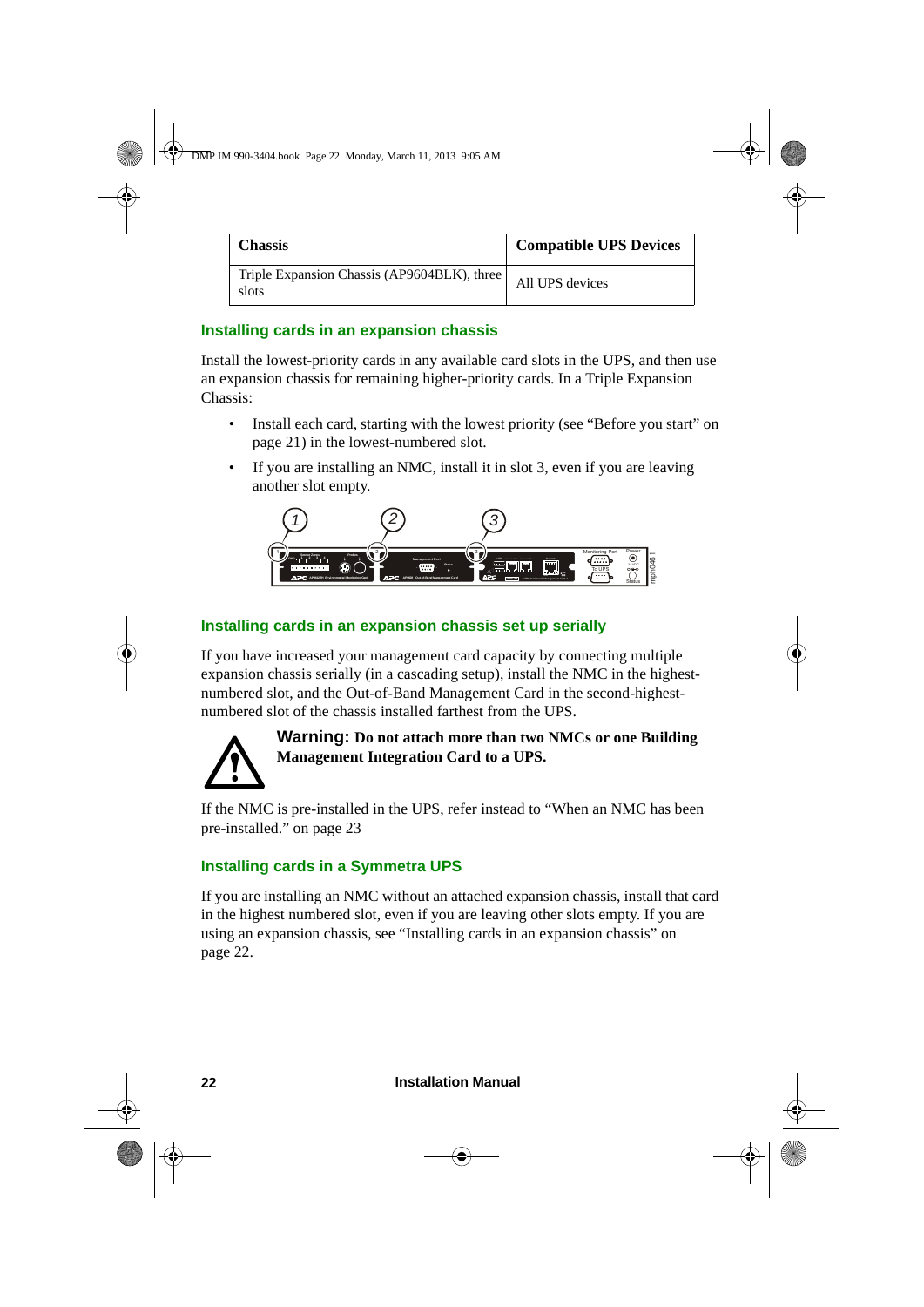| <b>Chassis</b>                                       | <b>Compatible UPS Devices</b> |
|------------------------------------------------------|-------------------------------|
| Triple Expansion Chassis (AP9604BLK), three<br>slots | All UPS devices               |

#### <span id="page-25-3"></span><span id="page-25-0"></span>**Installing cards in an expansion chassis**

Install the lowest-priority cards in any available card slots in the UPS, and then use an expansion chassis for remaining higher-priority cards. In a Triple Expansion Chassis:

- Install each card, starting with the lowest priority (see "Before you start" on [page 21](#page-24-5)) in the lowest-numbered slot.
- If you are installing an NMC, install it in slot 3, even if you are leaving another slot empty.



#### <span id="page-25-1"></span>**Installing cards in an expansion chassis set up serially**

If you have increased your management card capacity by connecting multiple expansion chassis serially (in a cascading setup), install the NMC in the highestnumbered slot, and the Out-of-Band Management Card in the second-highestnumbered slot of the chassis installed farthest from the UPS.



**Warning: Do not attach more than two NMCs or one Building Management Integration Card to a UPS.**

If the NMC is pre-installed in the UPS, refer instead to ["When an NMC has been](#page-26-0)  [pre-installed." on page 23](#page-26-0)

#### <span id="page-25-2"></span>**Installing cards in a Symmetra UPS**

If you are installing an NMC without an attached expansion chassis, install that card in the highest numbered slot, even if you are leaving other slots empty. If you are using an expansion chassis, see ["Installing cards in an expansion chassis" on](#page-25-3)  [page 22.](#page-25-3)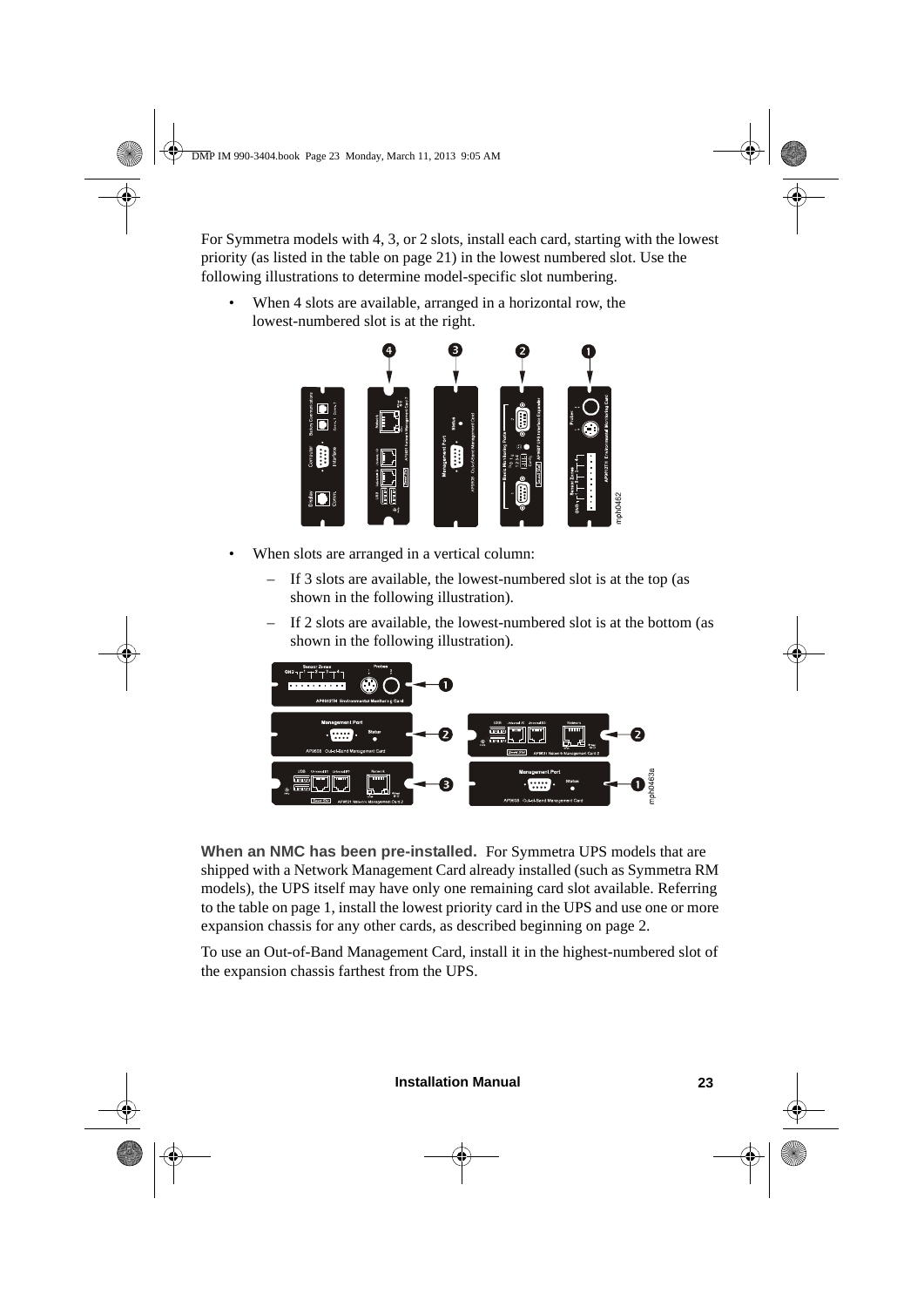For Symmetra models with 4, 3, or 2 slots, install each card, starting with the lowest priority (as listed in the table on [page](#page-24-6) 21) in the lowest numbered slot. Use the following illustrations to determine model-specific slot numbering.

When 4 slots are available, arranged in a horizontal row, the lowest-numbered slot is at the right.



- When slots are arranged in a vertical column:
	- If 3 slots are available, the lowest-numbered slot is at the top (as shown in the following illustration).
	- If 2 slots are available, the lowest-numbered slot is at the bottom (as shown in the following illustration).



<span id="page-26-0"></span>**When an NMC has been pre-installed.** For Symmetra UPS models that are shipped with a Network Management Card already installed (such as Symmetra RM models), the UPS itself may have only one remaining card slot available. Referring to the table on page 1, install the lowest priority card in the UPS and use one or more expansion chassis for any other cards, as described beginning on page 2.

To use an Out-of-Band Management Card, install it in the highest-numbered slot of the expansion chassis farthest from the UPS.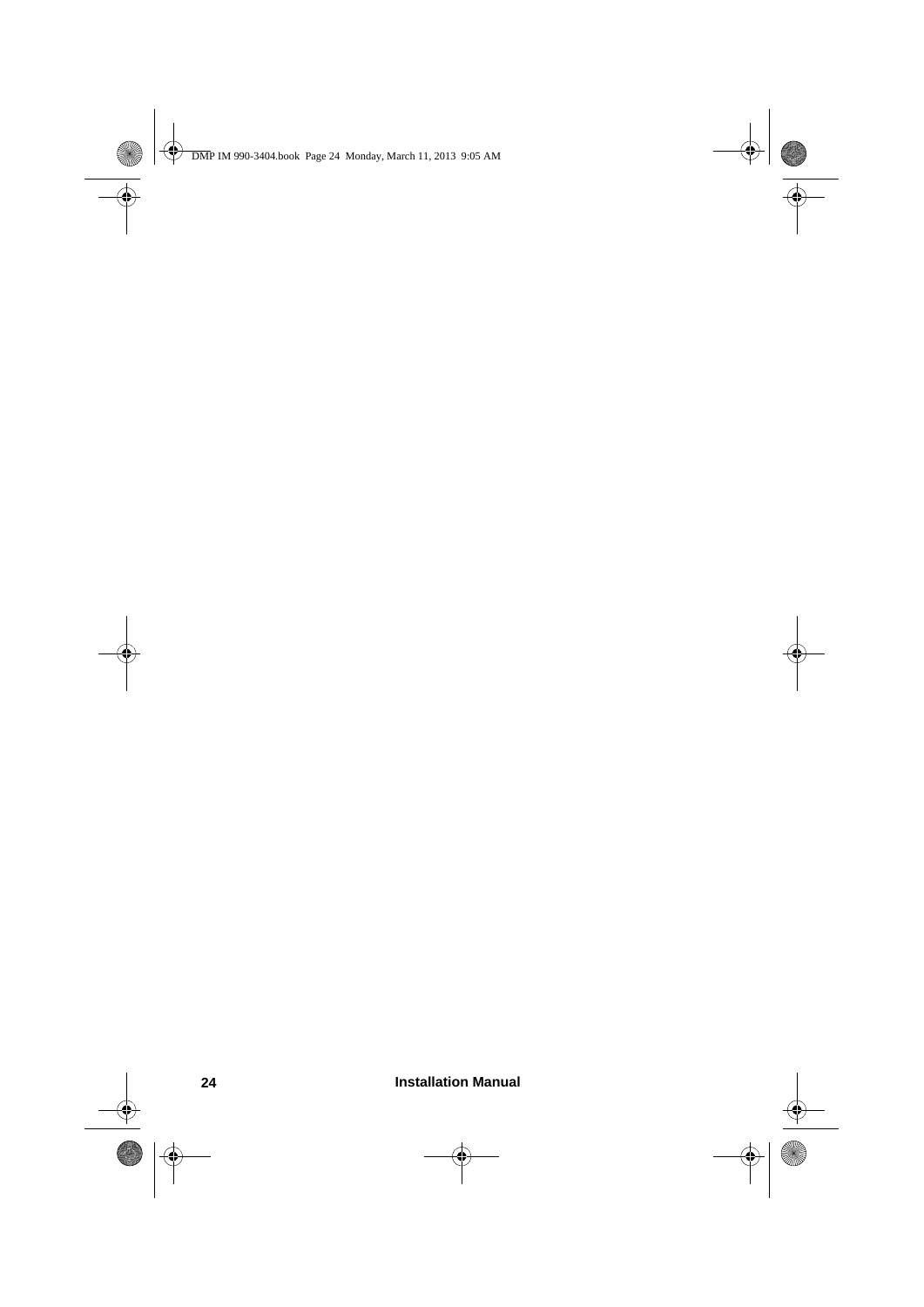**Installation Manual**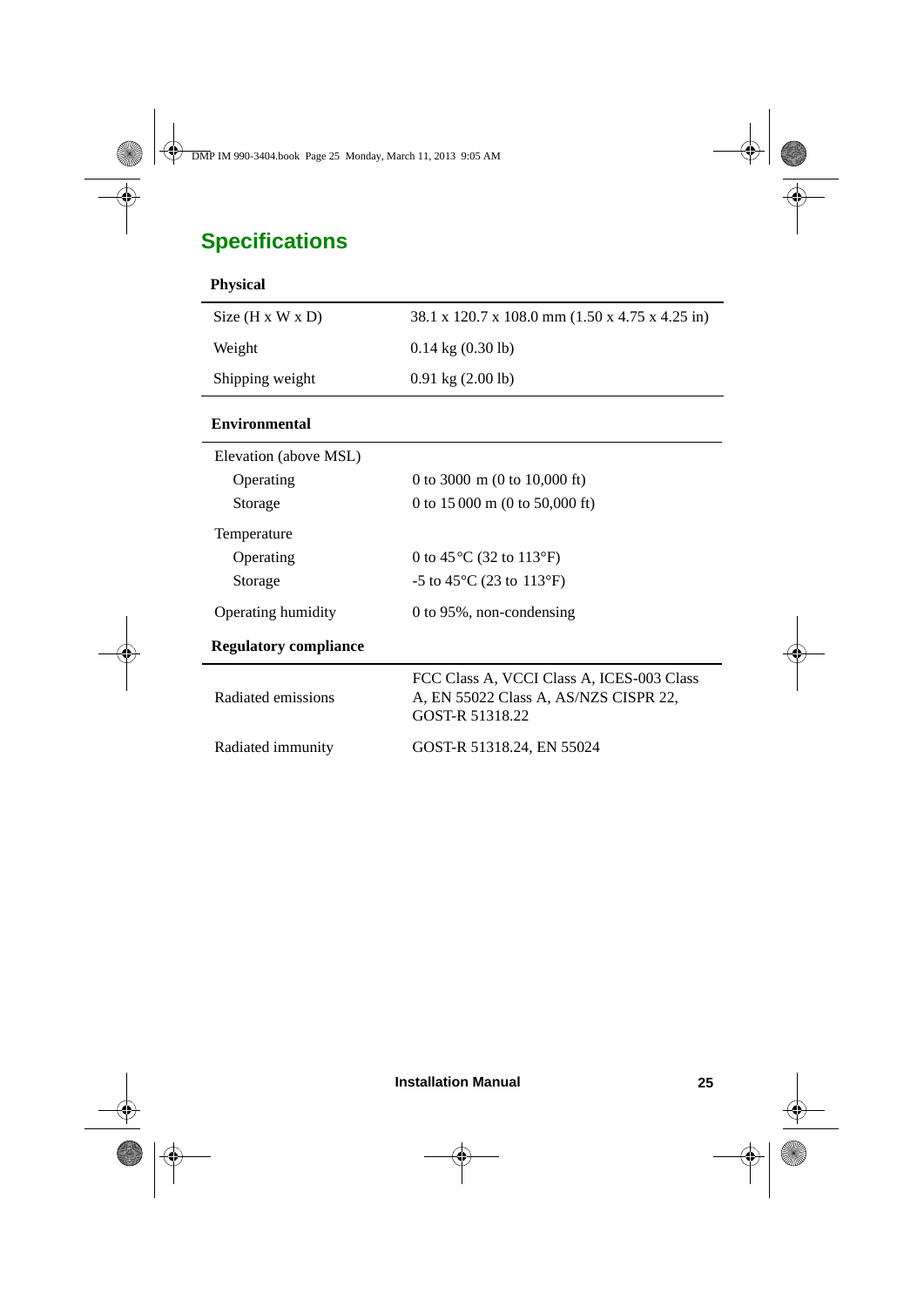### <span id="page-28-0"></span>**Specifications**

**Physical** 

| 38.1 x 120.7 x 108.0 mm (1.50 x 4.75 x 4.25 in)                                                       |
|-------------------------------------------------------------------------------------------------------|
| $0.14$ kg $(0.30$ lb)                                                                                 |
| $0.91$ kg $(2.00$ lb)                                                                                 |
|                                                                                                       |
|                                                                                                       |
| 0 to 3000 m (0 to 10,000 ft)                                                                          |
| 0 to $15000 \text{ m}$ (0 to $50,000 \text{ ft}$ )                                                    |
|                                                                                                       |
| 0 to $45^{\circ}$ C (32 to 113 $^{\circ}$ F)                                                          |
| -5 to 45 $^{\circ}$ C (23 to 113 $^{\circ}$ F)                                                        |
| 0 to 95%, non-condensing                                                                              |
|                                                                                                       |
| FCC Class A, VCCI Class A, ICES-003 Class<br>A, EN 55022 Class A, AS/NZS CISPR 22,<br>GOST-R 51318.22 |
| GOST-R 51318.24, EN 55024                                                                             |
|                                                                                                       |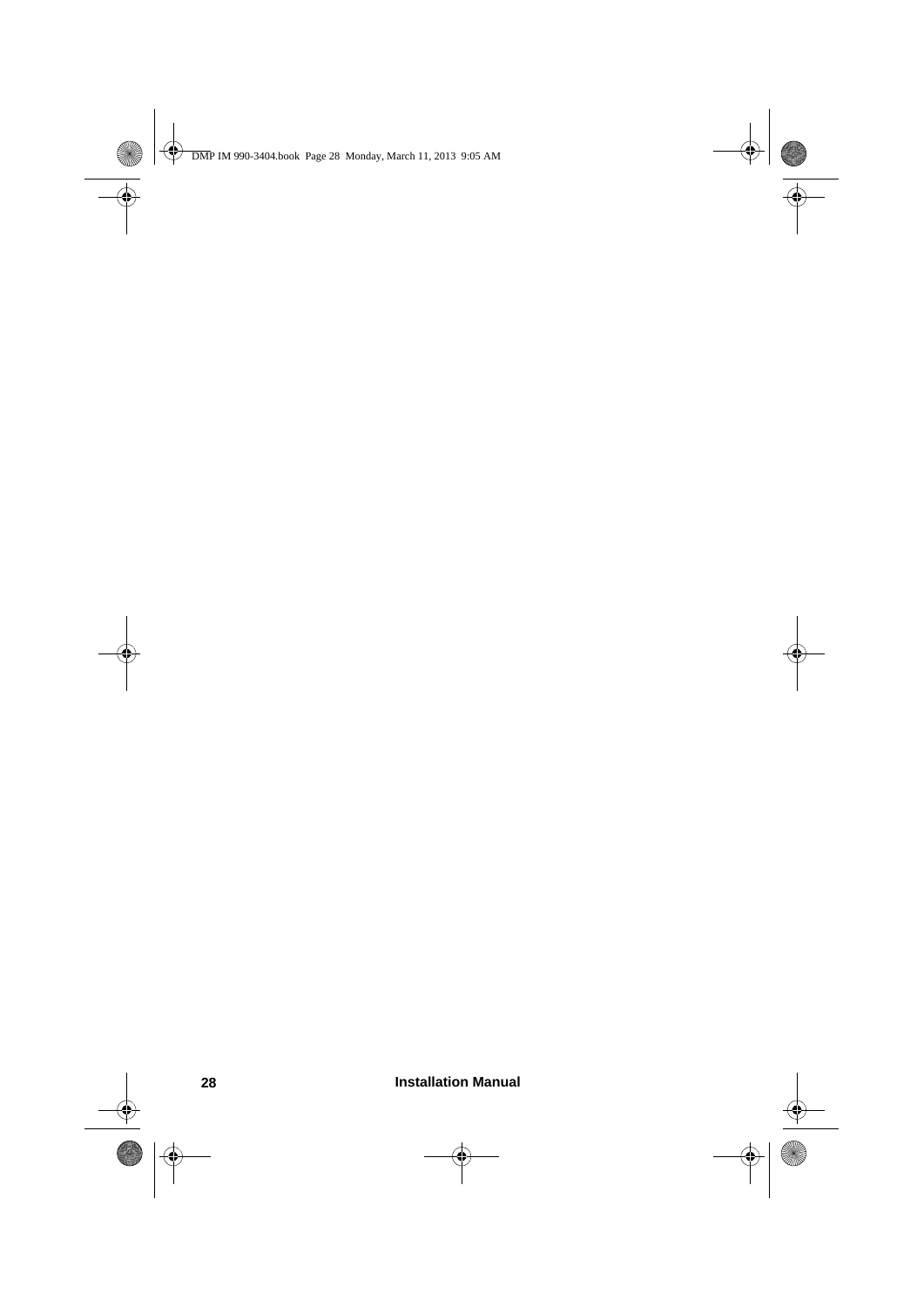**Installation Manual**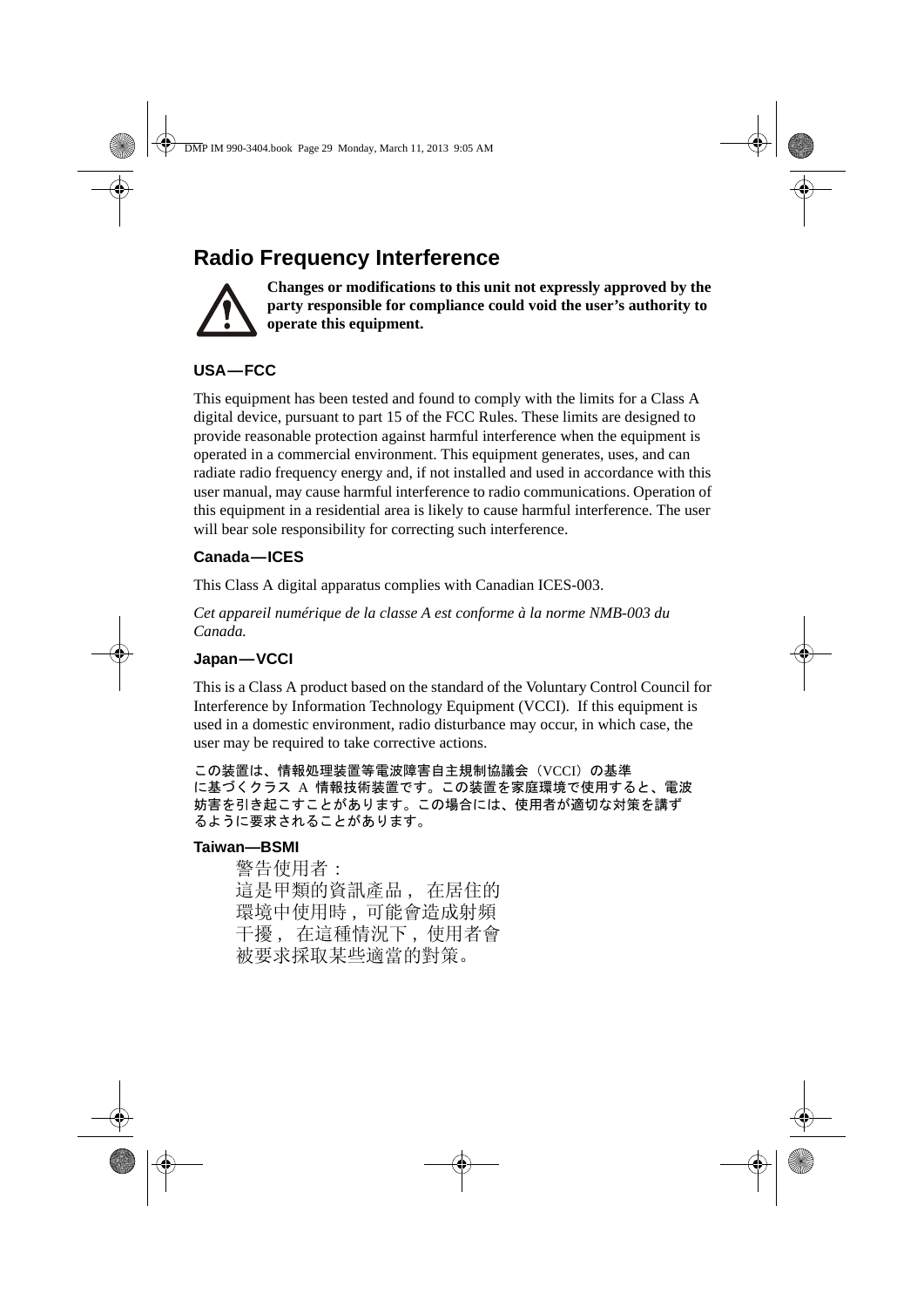### **Radio Frequency Interference**



**Changes or modifications to this unit not expressly approved by the party responsible for compliance could void the user's authority to operate this equipment.**

#### **USA—FCC**

This equipment has been tested and found to comply with the limits for a Class A digital device, pursuant to part 15 of the FCC Rules. These limits are designed to provide reasonable protection against harmful interference when the equipment is operated in a commercial environment. This equipment generates, uses, and can radiate radio frequency energy and, if not installed and used in accordance with this user manual, may cause harmful interference to radio communications. Operation of this equipment in a residential area is likely to cause harmful interference. The user will bear sole responsibility for correcting such interference.

#### **Canada—ICES**

This Class A digital apparatus complies with Canadian ICES-003.

*Cet appareil numérique de la classe A est conforme à la norme NMB-003 du Canada.*

#### **Japan—VCCI**

This is a Class A product based on the standard of the Voluntary Control Council for Interference by Information Technology Equipment (VCCI). If this equipment is used in a domestic environment, radio disturbance may occur, in which case, the user may be required to take corrective actions.

この装置は、情報処理装置等電波障害自主規制協議会(VCCI)の基準 に基づくクラス A 情報技術装置です。この装置を家庭環境で使用すると、電波 妨害を引き起こすことがあります。この場合には、使用者が適切な対策を講ず るように要求されることがあります。

#### **Taiwan—BSMI**

警告使用者 : 這是甲類的資訊產品 , 在居住的 環境中使用時 , 可能會造成射頻 干擾 , 在這種情況下 , 使用者會 被要求採取某些適當的對策。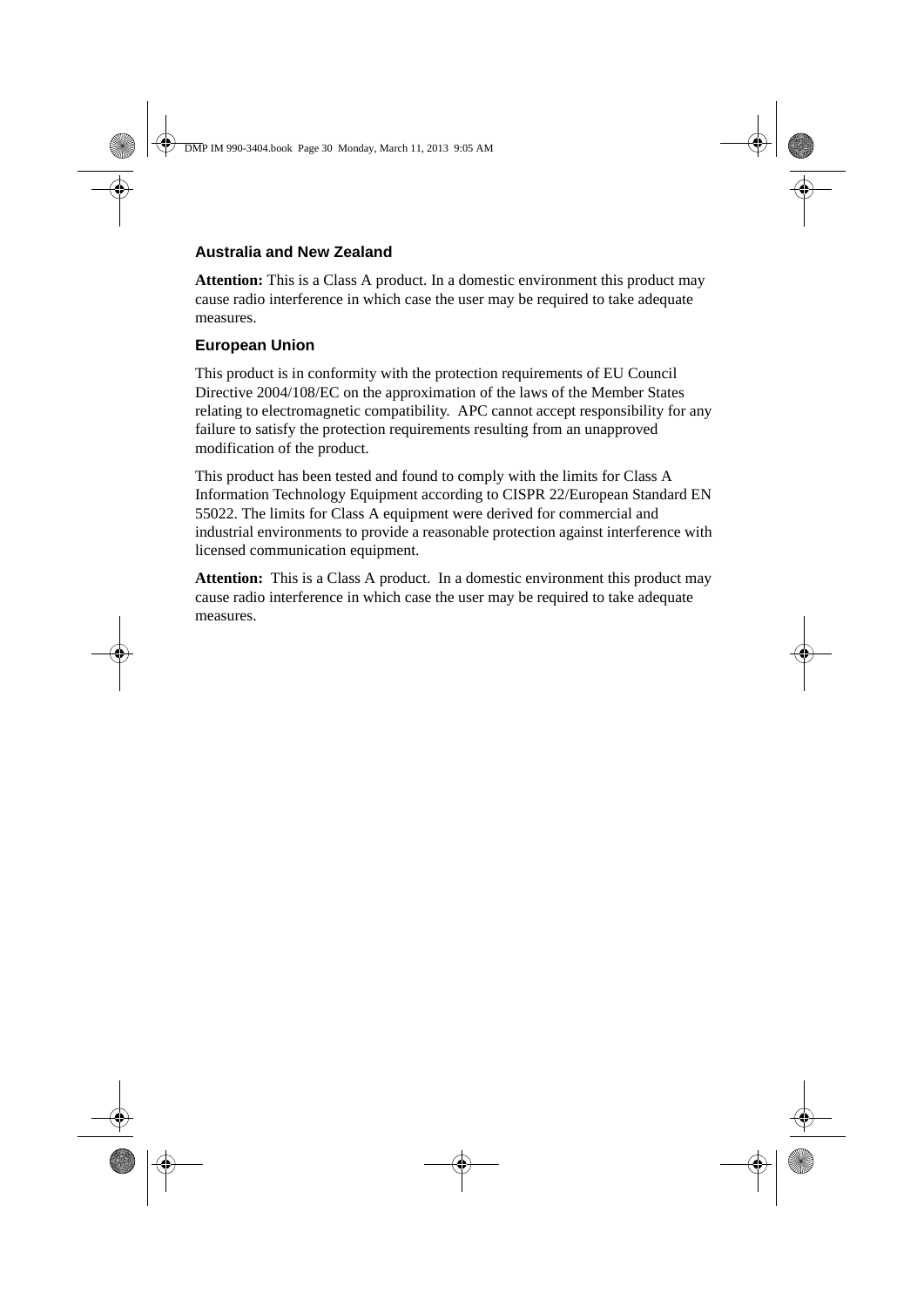#### **Australia and New Zealand**

**Attention:** This is a Class A product. In a domestic environment this product may cause radio interference in which case the user may be required to take adequate measures.

#### **European Union**

This product is in conformity with the protection requirements of EU Council Directive 2004/108/EC on the approximation of the laws of the Member States relating to electromagnetic compatibility. APC cannot accept responsibility for any failure to satisfy the protection requirements resulting from an unapproved modification of the product.

This product has been tested and found to comply with the limits for Class A Information Technology Equipment according to CISPR 22/European Standard EN 55022. The limits for Class A equipment were derived for commercial and industrial environments to provide a reasonable protection against interference with licensed communication equipment.

**Attention:** This is a Class A product. In a domestic environment this product may cause radio interference in which case the user may be required to take adequate measures.